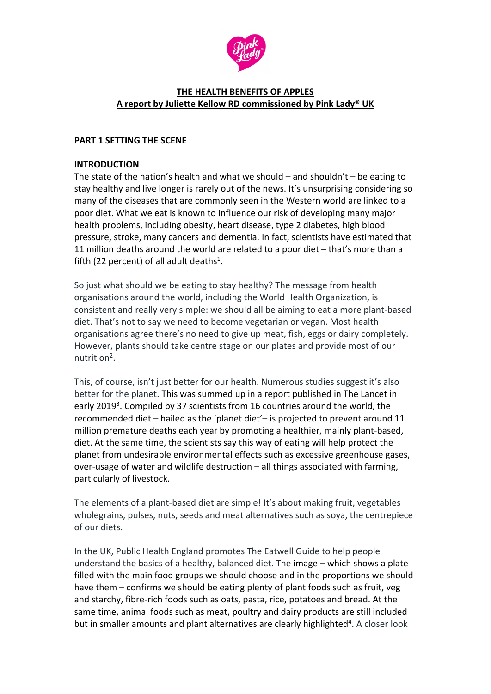

### **THE HEALTH BENEFITS OF APPLES A report by Juliette Kellow RD commissioned by Pink Lady® UK**

### **PART 1 SETTING THE SCENE**

#### **INTRODUCTION**

The state of the nation's health and what we should – and shouldn't – be eating to stay healthy and live longer is rarely out of the news. It's unsurprising considering so many of the diseases that are commonly seen in the Western world are linked to a poor diet. What we eat is known to influence our risk of developing many major health problems, including obesity, heart disease, type 2 diabetes, high blood pressure, stroke, many cancers and dementia. In fact, scientists have estimated that 11 million deaths around the world are related to a poor diet – that's more than a fifth (22 percent) of all adult deaths<sup>1</sup>.

So just what should we be eating to stay healthy? The message from health organisations around the world, including the World Health Organization, is consistent and really very simple: we should all be aiming to eat a more plant-based diet. That's not to say we need to become vegetarian or vegan. Most health organisations agree there's no need to give up meat, fish, eggs or dairy completely. However, plants should take centre stage on our plates and provide most of our nutrition<sup>2</sup>.

This, of course, isn't just better for our health. Numerous studies suggest it's also better for the planet. This was summed up in a report published in The Lancet in early 2019<sup>3</sup>. Compiled by 37 scientists from 16 countries around the world, the recommended diet – hailed as the 'planet diet'– is projected to prevent around 11 million premature deaths each year by promoting a healthier, mainly plant-based, diet. At the same time, the scientists say this way of eating will help protect the planet from undesirable environmental effects such as excessive greenhouse gases, over-usage of water and wildlife destruction – all things associated with farming, particularly of livestock.

The elements of a plant-based diet are simple! It's about making fruit, vegetables wholegrains, pulses, nuts, seeds and meat alternatives such as soya, the centrepiece of our diets.

In the UK, Public Health England promotes The Eatwell Guide to help people understand the basics of a healthy, balanced diet. The image – which shows a plate filled with the main food groups we should choose and in the proportions we should have them – confirms we should be eating plenty of plant foods such as fruit, veg and starchy, fibre-rich foods such as oats, pasta, rice, potatoes and bread. At the same time, animal foods such as meat, poultry and dairy products are still included but in smaller amounts and plant alternatives are clearly highlighted<sup>4</sup>. A closer look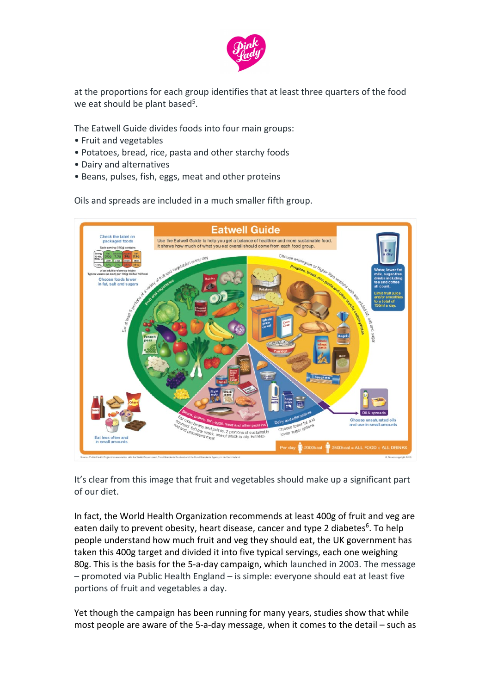

at the proportions for each group identifies that at least three quarters of the food we eat should be plant based<sup>5</sup>.

The Eatwell Guide divides foods into four main groups:

- Fruit and vegetables
- Potatoes, bread, rice, pasta and other starchy foods
- Dairy and alternatives
- Beans, pulses, fish, eggs, meat and other proteins

Oils and spreads are included in a much smaller fifth group.



It's clear from this image that fruit and vegetables should make up a significant part of our diet.

In fact, the World Health Organization recommends at least 400g of fruit and veg are eaten daily to prevent obesity, heart disease, cancer and type 2 diabetes<sup>6</sup>. To help people understand how much fruit and veg they should eat, the UK government has taken this 400g target and divided it into five typical servings, each one weighing 80g. This is the basis for the 5-a-day campaign, which launched in 2003. The message – promoted via Public Health England – is simple: everyone should eat at least five portions of fruit and vegetables a day.

Yet though the campaign has been running for many years, studies show that while most people are aware of the 5-a-day message, when it comes to the detail – such as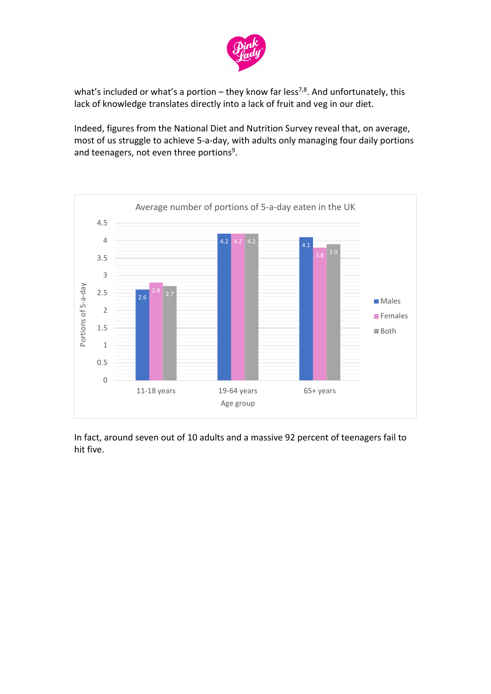

what's included or what's a portion – they know far less<sup>7,8</sup>. And unfortunately, this lack of knowledge translates directly into a lack of fruit and veg in our diet.

Indeed, figures from the National Diet and Nutrition Survey reveal that, on average, most of us struggle to achieve 5-a-day, with adults only managing four daily portions and teenagers, not even three portions<sup>9</sup>.



In fact, around seven out of 10 adults and a massive 92 percent of teenagers fail to hit five.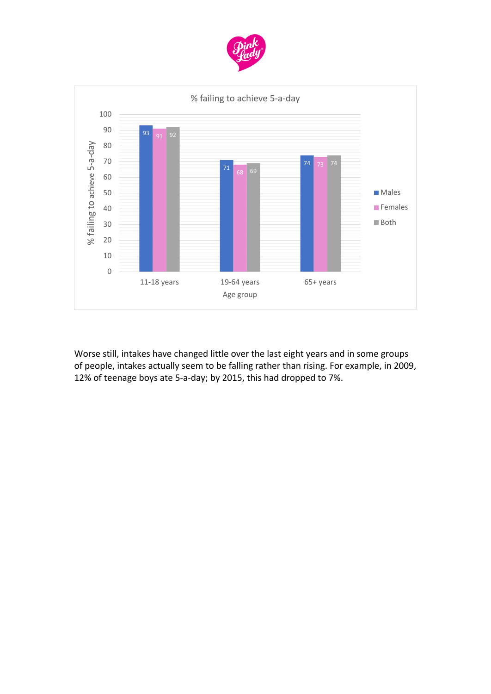



Worse still, intakes have changed little over the last eight years and in some groups of people, intakes actually seem to be falling rather than rising. For example, in 2009, 12% of teenage boys ate 5-a-day; by 2015, this had dropped to 7%.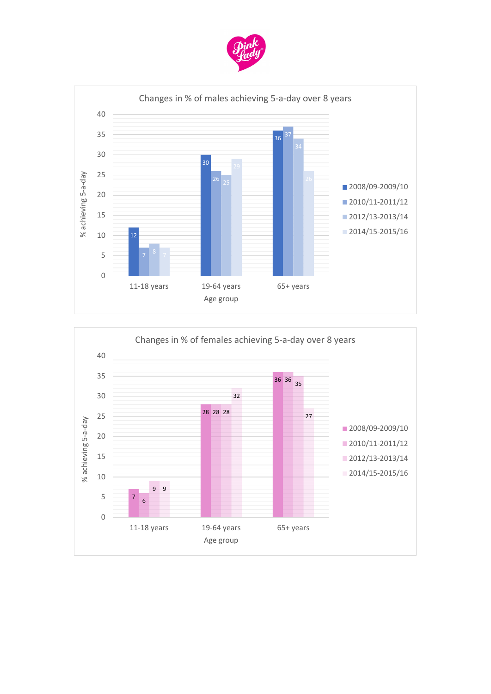



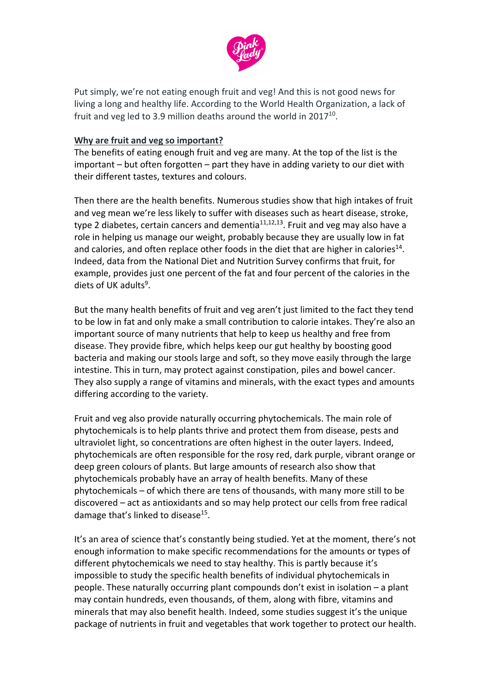

Put simply, we're not eating enough fruit and veg! And this is not good news for living a long and healthy life. According to the World Health Organization, a lack of fruit and veg led to 3.9 million deaths around the world in  $2017^{10}$ .

#### **Why are fruit and veg so important?**

The benefits of eating enough fruit and veg are many. At the top of the list is the important – but often forgotten – part they have in adding variety to our diet with their different tastes, textures and colours.

Then there are the health benefits. Numerous studies show that high intakes of fruit and veg mean we're less likely to suffer with diseases such as heart disease, stroke, type 2 diabetes, certain cancers and dementia $11,12,13$ . Fruit and veg may also have a role in helping us manage our weight, probably because they are usually low in fat and calories, and often replace other foods in the diet that are higher in calories<sup>14</sup>. Indeed, data from the National Diet and Nutrition Survey confirms that fruit, for example, provides just one percent of the fat and four percent of the calories in the diets of UK adults $9$ .

But the many health benefits of fruit and veg aren't just limited to the fact they tend to be low in fat and only make a small contribution to calorie intakes. They're also an important source of many nutrients that help to keep us healthy and free from disease. They provide fibre, which helps keep our gut healthy by boosting good bacteria and making our stools large and soft, so they move easily through the large intestine. This in turn, may protect against constipation, piles and bowel cancer. They also supply a range of vitamins and minerals, with the exact types and amounts differing according to the variety.

Fruit and veg also provide naturally occurring phytochemicals. The main role of phytochemicals is to help plants thrive and protect them from disease, pests and ultraviolet light, so concentrations are often highest in the outer layers. Indeed, phytochemicals are often responsible for the rosy red, dark purple, vibrant orange or deep green colours of plants. But large amounts of research also show that phytochemicals probably have an array of health benefits. Many of these phytochemicals – of which there are tens of thousands, with many more still to be discovered – act as antioxidants and so may help protect our cells from free radical damage that's linked to disease<sup>15</sup>.

It's an area of science that's constantly being studied. Yet at the moment, there's not enough information to make specific recommendations for the amounts or types of different phytochemicals we need to stay healthy. This is partly because it's impossible to study the specific health benefits of individual phytochemicals in people. These naturally occurring plant compounds don't exist in isolation – a plant may contain hundreds, even thousands, of them, along with fibre, vitamins and minerals that may also benefit health. Indeed, some studies suggest it's the unique package of nutrients in fruit and vegetables that work together to protect our health.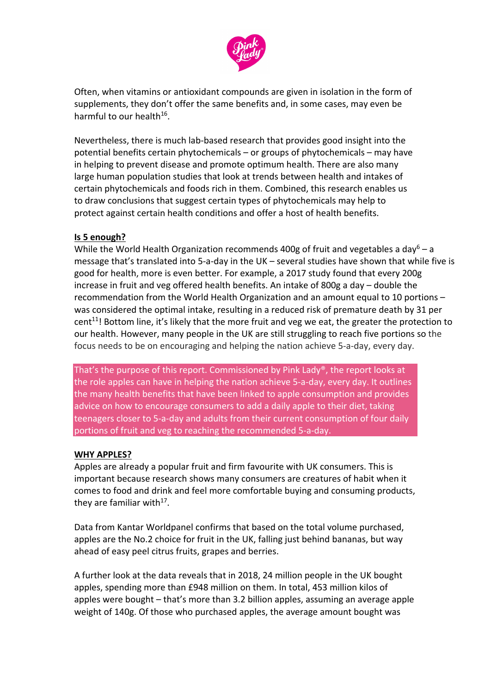

Often, when vitamins or antioxidant compounds are given in isolation in the form of supplements, they don't offer the same benefits and, in some cases, may even be harmful to our health $16$ .

Nevertheless, there is much lab-based research that provides good insight into the potential benefits certain phytochemicals – or groups of phytochemicals – may have in helping to prevent disease and promote optimum health. There are also many large human population studies that look at trends between health and intakes of certain phytochemicals and foods rich in them. Combined, this research enables us to draw conclusions that suggest certain types of phytochemicals may help to protect against certain health conditions and offer a host of health benefits.

### **Is 5 enough?**

While the World Health Organization recommends 400g of fruit and vegetables a day<sup>6</sup> – a message that's translated into 5-a-day in the UK – several studies have shown that while five is good for health, more is even better. For example, a 2017 study found that every 200g increase in fruit and veg offered health benefits. An intake of 800g a day – double the recommendation from the World Health Organization and an amount equal to 10 portions – was considered the optimal intake, resulting in a reduced risk of premature death by 31 per cent<sup>11</sup>! Bottom line, it's likely that the more fruit and veg we eat, the greater the protection to our health. However, many people in the UK are still struggling to reach five portions so the focus needs to be on encouraging and helping the nation achieve 5-a-day, every day.

That's the purpose of this report. Commissioned by Pink Lady®, the report looks at the role apples can have in helping the nation achieve 5-a-day, every day. It outlines the many health benefits that have been linked to apple consumption and provides advice on how to encourage consumers to add a daily apple to their diet, taking teenagers closer to 5-a-day and adults from their current consumption of four daily portions of fruit and veg to reaching the recommended 5-a-day.

#### **WHY APPLES?**

Apples are already a popular fruit and firm favourite with UK consumers. This is important because research shows many consumers are creatures of habit when it comes to food and drink and feel more comfortable buying and consuming products, they are familiar with $17$ .

Data from Kantar Worldpanel confirms that based on the total volume purchased, apples are the No.2 choice for fruit in the UK, falling just behind bananas, but way ahead of easy peel citrus fruits, grapes and berries.

A further look at the data reveals that in 2018, 24 million people in the UK bought apples, spending more than £948 million on them. In total, 453 million kilos of apples were bought – that's more than 3.2 billion apples, assuming an average apple weight of 140g. Of those who purchased apples, the average amount bought was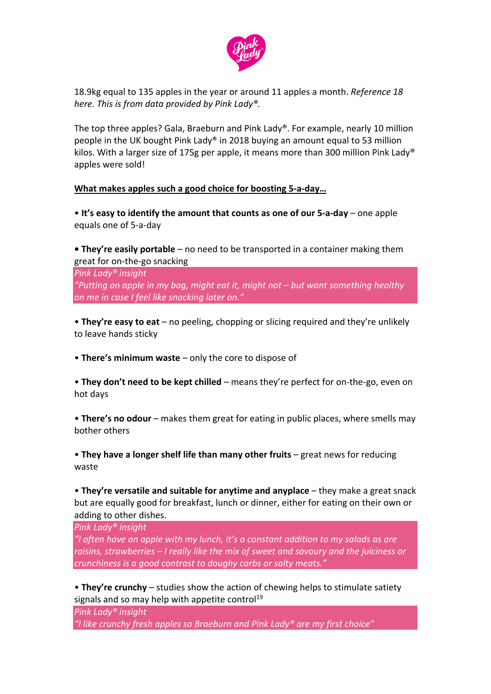

18.9kg equal to 135 apples in the year or around 11 apples a month. *Reference 18 here. This is from data provided by Pink Lady®.* 

The top three apples? Gala, Braeburn and Pink Lady®. For example, nearly 10 million people in the UK bought Pink Lady® in 2018 buying an amount equal to 53 million kilos. With a larger size of 175g per apple, it means more than 300 million Pink Lady<sup>®</sup> apples were sold!

#### **What makes apples such a good choice for boosting 5-a-day…**

• **It's easy to identify the amount that counts as one of our 5-a-day** – one apple equals one of 5-a-day

**• They're easily portable** – no need to be transported in a container making them great for on-the-go snacking

*Pink Lady® insight "Putting an apple in my bag, might eat it, might not – but want something healthy on me in case I feel like snacking later on."*

• **They're easy to eat** – no peeling, chopping or slicing required and they're unlikely to leave hands sticky

• **There's minimum waste** – only the core to dispose of

• **They don't need to be kept chilled** – means they're perfect for on-the-go, even on hot days

• **There's no odour** – makes them great for eating in public places, where smells may bother others

• **They have a longer shelf life than many other fruits** – great news for reducing waste

• **They're versatile and suitable for anytime and anyplace** – they make a great snack but are equally good for breakfast, lunch or dinner, either for eating on their own or adding to other dishes.

*Pink Lady® insight*

*"I often have an apple with my lunch, it's a constant addition to my salads as are raisins, strawberries – I really like the mix of sweet and savoury and the juiciness or crunchiness is a good contrast to doughy carbs or salty meats."*

• **They're crunchy** – studies show the action of chewing helps to stimulate satiety signals and so may help with appetite control<sup>19</sup>

*Pink Lady® insight*

*"I like crunchy fresh apples so Braeburn and Pink Lady® are my first choice"*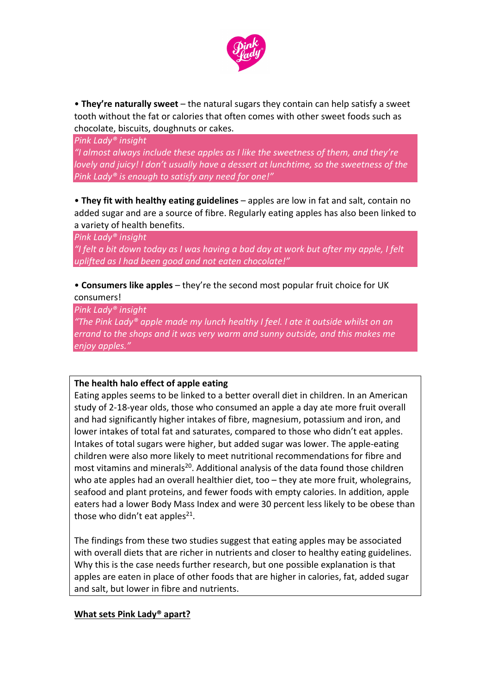

• **They're naturally sweet** – the natural sugars they contain can help satisfy a sweet tooth without the fat or calories that often comes with other sweet foods such as chocolate, biscuits, doughnuts or cakes.

*Pink Lady® insight "I almost always include these apples as I like the sweetness of them, and they're lovely and juicy! I don't usually have a dessert at lunchtime, so the sweetness of the Pink Lady® is enough to satisfy any need for one!"*

• **They fit with healthy eating guidelines** – apples are low in fat and salt, contain no added sugar and are a source of fibre. Regularly eating apples has also been linked to a variety of health benefits.

*Pink Lady® insight*

*"I felt a bit down today as I was having a bad day at work but after my apple, I felt uplifted as I had been good and not eaten chocolate!"*

# • **Consumers like apples** – they're the second most popular fruit choice for UK consumers!

*Pink Lady® insight "The Pink Lady® apple made my lunch healthy I feel. I ate it outside whilst on an errand to the shops and it was very warm and sunny outside, and this makes me enjoy apples."*

### **The health halo effect of apple eating**

Eating apples seems to be linked to a better overall diet in children. In an American study of 2-18-year olds, those who consumed an apple a day ate more fruit overall and had significantly higher intakes of fibre, magnesium, potassium and iron, and lower intakes of total fat and saturates, compared to those who didn't eat apples. Intakes of total sugars were higher, but added sugar was lower. The apple-eating children were also more likely to meet nutritional recommendations for fibre and most vitamins and minerals<sup>20</sup>. Additional analysis of the data found those children who ate apples had an overall healthier diet, too - they ate more fruit, wholegrains, seafood and plant proteins, and fewer foods with empty calories. In addition, apple eaters had a lower Body Mass Index and were 30 percent less likely to be obese than those who didn't eat apples<sup>21</sup>.

The findings from these two studies suggest that eating apples may be associated with overall diets that are richer in nutrients and closer to healthy eating guidelines. Why this is the case needs further research, but one possible explanation is that apples are eaten in place of other foods that are higher in calories, fat, added sugar and salt, but lower in fibre and nutrients.

### **What sets Pink Lady® apart?**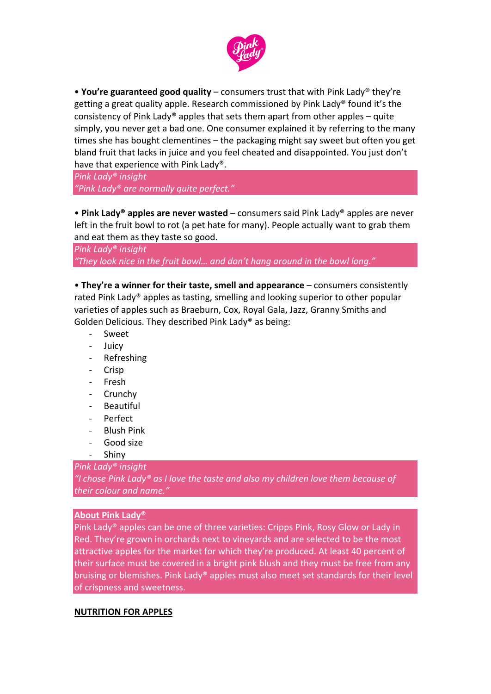

• **You're guaranteed good quality** – consumers trust that with Pink Lady® they're getting a great quality apple. Research commissioned by Pink Lady® found it's the consistency of Pink Lady<sup>®</sup> apples that sets them apart from other apples – quite simply, you never get a bad one. One consumer explained it by referring to the many times she has bought clementines – the packaging might say sweet but often you get bland fruit that lacks in juice and you feel cheated and disappointed. You just don't have that experience with Pink Lady®.

*Pink Lady® insight "Pink Lady® are normally quite perfect."*

• **Pink Lady® apples are never wasted** – consumers said Pink Lady® apples are never left in the fruit bowl to rot (a pet hate for many). People actually want to grab them and eat them as they taste so good.

*Pink Lady® insight "They look nice in the fruit bowl… and don't hang around in the bowl long."*

• **They're a winner for their taste, smell and appearance** – consumers consistently rated Pink Lady® apples as tasting, smelling and looking superior to other popular varieties of apples such as Braeburn, Cox, Royal Gala, Jazz, Granny Smiths and Golden Delicious. They described Pink Lady® as being:

- **Sweet**
- **Juicy**
- **Refreshing**
- **Crisp**
- Fresh
- Crunchy
- **Beautiful**
- Perfect
- Blush Pink
- Good size
- Shiny

*Pink Lady® insight*

*"I chose Pink Lady® as I love the taste and also my children love them because of their colour and name."*

#### **About Pink Lady®**

Pink Lady® apples can be one of three varieties: Cripps Pink, Rosy Glow or Lady in Red. They're grown in orchards next to vineyards and are selected to be the most attractive apples for the market for which they're produced. At least 40 percent of their surface must be covered in a bright pink blush and they must be free from any bruising or blemishes. Pink Lady® apples must also meet set standards for their level of crispness and sweetness.

#### **NUTRITION FOR APPLES**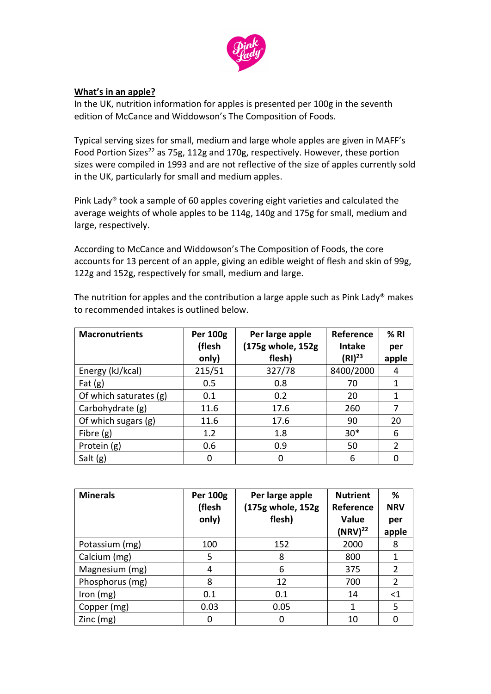

#### **What's in an apple?**

In the UK, nutrition information for apples is presented per 100g in the seventh edition of McCance and Widdowson's The Composition of Foods.

Typical serving sizes for small, medium and large whole apples are given in MAFF's Food Portion Sizes<sup>22</sup> as 75g, 112g and 170g, respectively. However, these portion sizes were compiled in 1993 and are not reflective of the size of apples currently sold in the UK, particularly for small and medium apples.

Pink Lady® took a sample of 60 apples covering eight varieties and calculated the average weights of whole apples to be 114g, 140g and 175g for small, medium and large, respectively.

According to McCance and Widdowson's The Composition of Foods, the core accounts for 13 percent of an apple, giving an edible weight of flesh and skin of 99g, 122g and 152g, respectively for small, medium and large.

| <b>Macronutrients</b>  | <b>Per 100g</b> | Per large apple   | Reference     | % RI           |
|------------------------|-----------------|-------------------|---------------|----------------|
|                        | (flesh          | (175g whole, 152g | <b>Intake</b> | per            |
|                        | only)           | flesh)            | $(RI)^{23}$   | apple          |
| Energy (kJ/kcal)       | 215/51          | 327/78            | 8400/2000     | 4              |
| Fat $(g)$              | 0.5             | 0.8               | 70            | 1              |
| Of which saturates (g) | 0.1             | 0.2               | 20            | 1              |
| Carbohydrate (g)       | 11.6            | 17.6              | 260           | 7              |
| Of which sugars (g)    | 11.6            | 17.6              | 90            | 20             |
| Fibre $(g)$            | 1.2             | 1.8               | $30*$         | 6              |
| Protein (g)            | 0.6             | 0.9               | 50            | $\overline{2}$ |
| Salt $(g)$             | 0               |                   | 6             |                |

The nutrition for apples and the contribution a large apple such as Pink Lady® makes to recommended intakes is outlined below.

| <b>Minerals</b> | <b>Per 100g</b><br>Per large apple |                   | <b>Nutrient</b> | ℅              |
|-----------------|------------------------------------|-------------------|-----------------|----------------|
|                 | (flesh                             | (175g whole, 152g | Reference       | <b>NRV</b>     |
|                 | only)                              | flesh)            | Value           | per            |
|                 |                                    |                   | $(NRV)^{22}$    | apple          |
| Potassium (mg)  | 100                                | 152               | 2000            | 8              |
| Calcium (mg)    | 5                                  | 8                 | 800             |                |
| Magnesium (mg)  | 4                                  | 6                 | 375             | 2              |
| Phosphorus (mg) | 8                                  | 12                | 700             | $\overline{2}$ |
| Iron $(mg)$     | 0.1                                | 0.1               | 14              | $<$ 1          |
| Copper (mg)     | 0.03                               | 0.05              | 1               | 5              |
| $Zinc$ (mg)     |                                    | 0                 | 10              |                |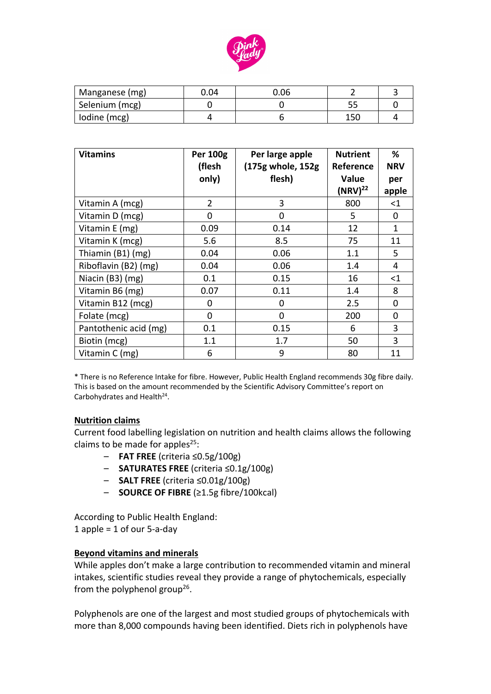

| Manganese (mg) | 0.04 | 0.06 |     |  |
|----------------|------|------|-----|--|
| Selenium (mcg) |      |      |     |  |
| lodine (mcg)   |      |      | 150 |  |

| <b>Vitamins</b>       | <b>Per 100g</b><br>(flesh | Per large apple<br>(175g whole, 152g | <b>Nutrient</b><br>Reference | %<br><b>NRV</b> |
|-----------------------|---------------------------|--------------------------------------|------------------------------|-----------------|
|                       | only)                     | flesh)                               | Value                        | per             |
|                       |                           |                                      | $(NRV)^{22}$                 | apple           |
| Vitamin A (mcg)       | $\overline{2}$            | 3                                    | 800                          | $<$ 1           |
| Vitamin D (mcg)       | $\Omega$                  | 0                                    | 5                            | 0               |
| Vitamin E (mg)        | 0.09                      | 0.14                                 | 12                           | 1               |
| Vitamin K (mcg)       | 5.6                       | 8.5                                  | 75                           | 11              |
| Thiamin (B1) (mg)     | 0.04                      | 0.06                                 | 1.1                          | 5               |
| Riboflavin (B2) (mg)  | 0.04                      | 0.06                                 | 1.4                          | 4               |
| Niacin (B3) (mg)      | 0.1                       | 0.15                                 | 16                           | $<$ 1           |
| Vitamin B6 (mg)       | 0.07                      | 0.11                                 | 1.4                          | 8               |
| Vitamin B12 (mcg)     | 0                         | 0                                    | 2.5                          | 0               |
| Folate (mcg)          | 0                         | 0                                    | 200                          | 0               |
| Pantothenic acid (mg) | 0.1                       | 0.15                                 | 6                            | 3               |
| Biotin (mcg)          | 1.1                       | 1.7                                  | 50                           | 3               |
| Vitamin C (mg)        | 6                         | 9                                    | 80                           | 11              |

\* There is no Reference Intake for fibre. However, Public Health England recommends 30g fibre daily. This is based on the amount recommended by the Scientific Advisory Committee's report on Carbohydrates and Health<sup>24</sup>.

#### **Nutrition claims**

Current food labelling legislation on nutrition and health claims allows the following claims to be made for apples<sup>25</sup>:

- **FAT FREE** (criteria ≤0.5g/100g)
- **SATURATES FREE** (criteria ≤0.1g/100g)
- **SALT FREE** (criteria ≤0.01g/100g)
- **SOURCE OF FIBRE** (≥1.5g fibre/100kcal)

According to Public Health England: 1 apple = 1 of our 5-a-day

#### **Beyond vitamins and minerals**

While apples don't make a large contribution to recommended vitamin and mineral intakes, scientific studies reveal they provide a range of phytochemicals, especially from the polyphenol group<sup>26</sup>.

Polyphenols are one of the largest and most studied groups of phytochemicals with more than 8,000 compounds having been identified. Diets rich in polyphenols have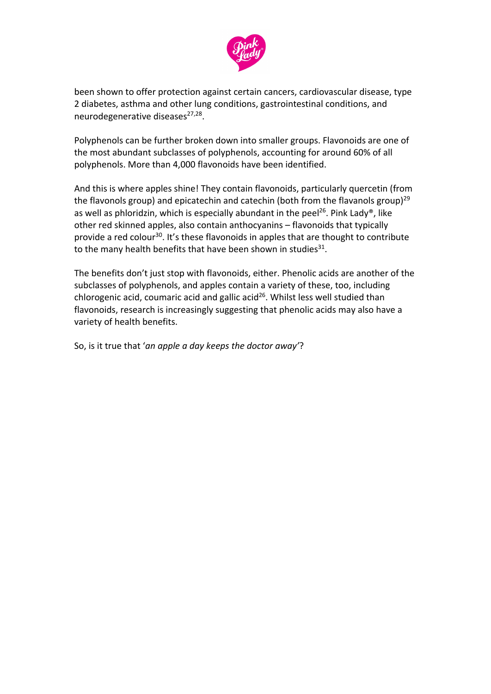

been shown to offer protection against certain cancers, cardiovascular disease, type 2 diabetes, asthma and other lung conditions, gastrointestinal conditions, and neurodegenerative diseases $27,28$ .

Polyphenols can be further broken down into smaller groups. Flavonoids are one of the most abundant subclasses of polyphenols, accounting for around 60% of all polyphenols. More than 4,000 flavonoids have been identified.

And this is where apples shine! They contain flavonoids, particularly quercetin (from the flavonols group) and epicatechin and catechin (both from the flavanols group)<sup>29</sup> as well as phloridzin, which is especially abundant in the peel<sup>26</sup>. Pink Lady®, like other red skinned apples, also contain anthocyanins – flavonoids that typically provide a red colour<sup>30</sup>. It's these flavonoids in apples that are thought to contribute to the many health benefits that have been shown in studies $31$ .

The benefits don't just stop with flavonoids, either. Phenolic acids are another of the subclasses of polyphenols, and apples contain a variety of these, too, including chlorogenic acid, coumaric acid and gallic acid<sup>26</sup>. Whilst less well studied than flavonoids, research is increasingly suggesting that phenolic acids may also have a variety of health benefits.

So, is it true that '*an apple a day keeps the doctor away'*?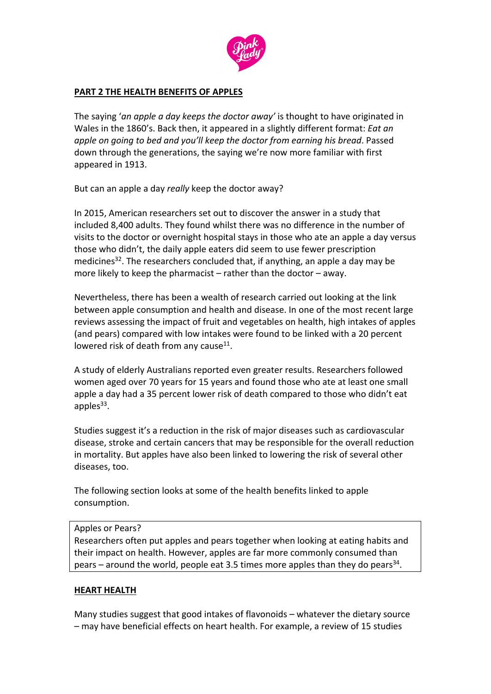

#### **PART 2 THE HEALTH BENEFITS OF APPLES**

The saying '*an apple a day keeps the doctor away'* is thought to have originated in Wales in the 1860's. Back then, it appeared in a slightly different format: *Eat an apple on going to bed and you'll keep the doctor from earning his bread*. Passed down through the generations, the saying we're now more familiar with first appeared in 1913.

But can an apple a day *really* keep the doctor away?

In 2015, American researchers set out to discover the answer in a study that included 8,400 adults. They found whilst there was no difference in the number of visits to the doctor or overnight hospital stays in those who ate an apple a day versus those who didn't, the daily apple eaters did seem to use fewer prescription medicines<sup>32</sup>. The researchers concluded that, if anything, an apple a day may be more likely to keep the pharmacist – rather than the doctor – away.

Nevertheless, there has been a wealth of research carried out looking at the link between apple consumption and health and disease. In one of the most recent large reviews assessing the impact of fruit and vegetables on health, high intakes of apples (and pears) compared with low intakes were found to be linked with a 20 percent lowered risk of death from any cause $^{11}$ .

A study of elderly Australians reported even greater results. Researchers followed women aged over 70 years for 15 years and found those who ate at least one small apple a day had a 35 percent lower risk of death compared to those who didn't eat apples<sup>33</sup>.

Studies suggest it's a reduction in the risk of major diseases such as cardiovascular disease, stroke and certain cancers that may be responsible for the overall reduction in mortality. But apples have also been linked to lowering the risk of several other diseases, too.

The following section looks at some of the health benefits linked to apple consumption.

#### Apples or Pears?

Researchers often put apples and pears together when looking at eating habits and their impact on health. However, apples are far more commonly consumed than pears – around the world, people eat 3.5 times more apples than they do pears<sup>34</sup>.

### **HEART HEALTH**

Many studies suggest that good intakes of flavonoids – whatever the dietary source – may have beneficial effects on heart health. For example, a review of 15 studies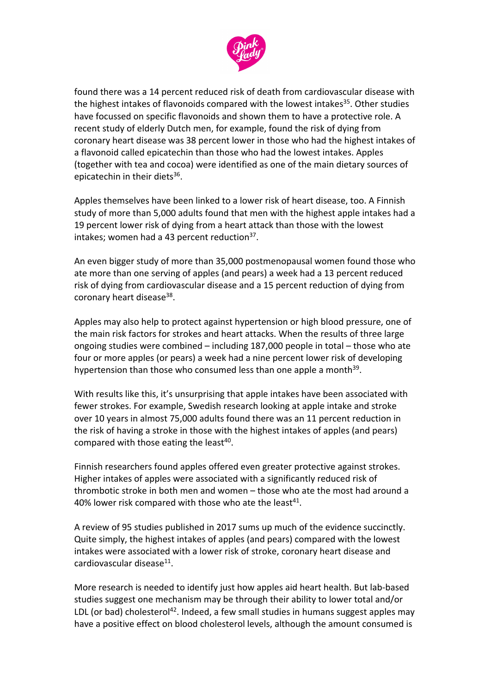

found there was a 14 percent reduced risk of death from cardiovascular disease with the highest intakes of flavonoids compared with the lowest intakes<sup>35</sup>. Other studies have focussed on specific flavonoids and shown them to have a protective role. A recent study of elderly Dutch men, for example, found the risk of dying from coronary heart disease was 38 percent lower in those who had the highest intakes of a flavonoid called epicatechin than those who had the lowest intakes. Apples (together with tea and cocoa) were identified as one of the main dietary sources of epicatechin in their diets<sup>36</sup>.

Apples themselves have been linked to a lower risk of heart disease, too. A Finnish study of more than 5,000 adults found that men with the highest apple intakes had a 19 percent lower risk of dying from a heart attack than those with the lowest intakes; women had a 43 percent reduction $37$ .

An even bigger study of more than 35,000 postmenopausal women found those who ate more than one serving of apples (and pears) a week had a 13 percent reduced risk of dying from cardiovascular disease and a 15 percent reduction of dying from coronary heart disease<sup>38</sup>.

Apples may also help to protect against hypertension or high blood pressure, one of the main risk factors for strokes and heart attacks. When the results of three large ongoing studies were combined – including 187,000 people in total – those who ate four or more apples (or pears) a week had a nine percent lower risk of developing hypertension than those who consumed less than one apple a month<sup>39</sup>.

With results like this, it's unsurprising that apple intakes have been associated with fewer strokes. For example, Swedish research looking at apple intake and stroke over 10 years in almost 75,000 adults found there was an 11 percent reduction in the risk of having a stroke in those with the highest intakes of apples (and pears) compared with those eating the least $40$ .

Finnish researchers found apples offered even greater protective against strokes. Higher intakes of apples were associated with a significantly reduced risk of thrombotic stroke in both men and women – those who ate the most had around a 40% lower risk compared with those who ate the least<sup>41</sup>.

A review of 95 studies published in 2017 sums up much of the evidence succinctly. Quite simply, the highest intakes of apples (and pears) compared with the lowest intakes were associated with a lower risk of stroke, coronary heart disease and cardiovascular disease<sup>11</sup>.

More research is needed to identify just how apples aid heart health. But lab-based studies suggest one mechanism may be through their ability to lower total and/or LDL (or bad) cholesterol<sup>42</sup>. Indeed, a few small studies in humans suggest apples may have a positive effect on blood cholesterol levels, although the amount consumed is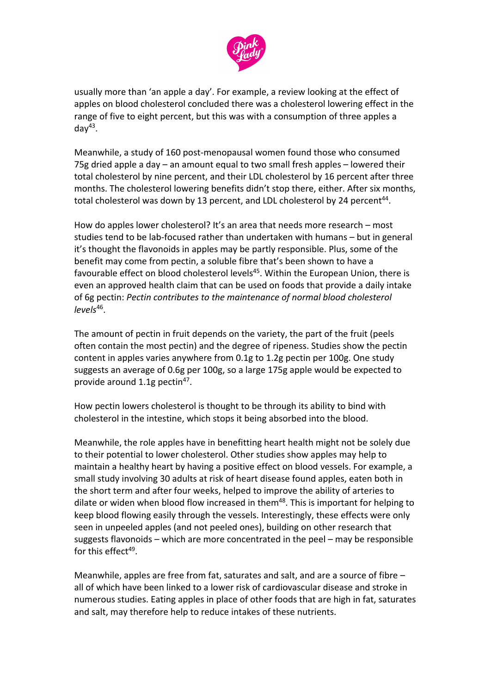

usually more than 'an apple a day'. For example, a review looking at the effect of apples on blood cholesterol concluded there was a cholesterol lowering effect in the range of five to eight percent, but this was with a consumption of three apples a day<sup>43</sup>.

Meanwhile, a study of 160 post-menopausal women found those who consumed 75g dried apple a day – an amount equal to two small fresh apples – lowered their total cholesterol by nine percent, and their LDL cholesterol by 16 percent after three months. The cholesterol lowering benefits didn't stop there, either. After six months, total cholesterol was down by 13 percent, and LDL cholesterol by 24 percent<sup>44</sup>.

How do apples lower cholesterol? It's an area that needs more research – most studies tend to be lab-focused rather than undertaken with humans – but in general it's thought the flavonoids in apples may be partly responsible. Plus, some of the benefit may come from pectin, a soluble fibre that's been shown to have a favourable effect on blood cholesterol levels<sup>45</sup>. Within the European Union, there is even an approved health claim that can be used on foods that provide a daily intake of 6g pectin: *Pectin contributes to the maintenance of normal blood cholesterol levels*<sup>46</sup> .

The amount of pectin in fruit depends on the variety, the part of the fruit (peels often contain the most pectin) and the degree of ripeness. Studies show the pectin content in apples varies anywhere from 0.1g to 1.2g pectin per 100g. One study suggests an average of 0.6g per 100g, so a large 175g apple would be expected to provide around 1.1g pectin<sup>47</sup>.

How pectin lowers cholesterol is thought to be through its ability to bind with cholesterol in the intestine, which stops it being absorbed into the blood.

Meanwhile, the role apples have in benefitting heart health might not be solely due to their potential to lower cholesterol. Other studies show apples may help to maintain a healthy heart by having a positive effect on blood vessels. For example, a small study involving 30 adults at risk of heart disease found apples, eaten both in the short term and after four weeks, helped to improve the ability of arteries to dilate or widen when blood flow increased in them<sup>48</sup>. This is important for helping to keep blood flowing easily through the vessels. Interestingly, these effects were only seen in unpeeled apples (and not peeled ones), building on other research that suggests flavonoids – which are more concentrated in the peel – may be responsible for this effect<sup>49</sup>.

Meanwhile, apples are free from fat, saturates and salt, and are a source of fibre – all of which have been linked to a lower risk of cardiovascular disease and stroke in numerous studies. Eating apples in place of other foods that are high in fat, saturates and salt, may therefore help to reduce intakes of these nutrients.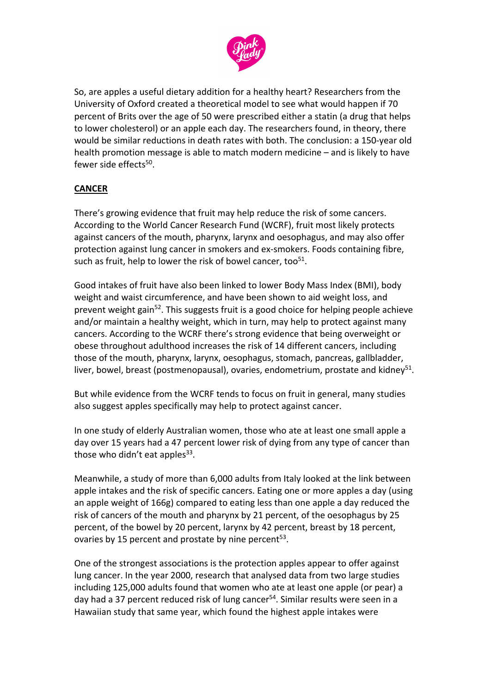

So, are apples a useful dietary addition for a healthy heart? Researchers from the University of Oxford created a theoretical model to see what would happen if 70 percent of Brits over the age of 50 were prescribed either a statin (a drug that helps to lower cholesterol) or an apple each day. The researchers found, in theory, there would be similar reductions in death rates with both. The conclusion: a 150-year old health promotion message is able to match modern medicine – and is likely to have fewer side effects<sup>50</sup>.

# **CANCER**

There's growing evidence that fruit may help reduce the risk of some cancers. According to the World Cancer Research Fund (WCRF), fruit most likely protects against cancers of the mouth, pharynx, larynx and oesophagus, and may also offer protection against lung cancer in smokers and ex-smokers. Foods containing fibre, such as fruit, help to lower the risk of bowel cancer, too $51$ .

Good intakes of fruit have also been linked to lower Body Mass Index (BMI), body weight and waist circumference, and have been shown to aid weight loss, and prevent weight gain<sup>52</sup>. This suggests fruit is a good choice for helping people achieve and/or maintain a healthy weight, which in turn, may help to protect against many cancers. According to the WCRF there's strong evidence that being overweight or obese throughout adulthood increases the risk of 14 different cancers, including those of the mouth, pharynx, larynx, oesophagus, stomach, pancreas, gallbladder, liver, bowel, breast (postmenopausal), ovaries, endometrium, prostate and kidney<sup>51</sup>.

But while evidence from the WCRF tends to focus on fruit in general, many studies also suggest apples specifically may help to protect against cancer.

In one study of elderly Australian women, those who ate at least one small apple a day over 15 years had a 47 percent lower risk of dying from any type of cancer than those who didn't eat apples<sup>33</sup>.

Meanwhile, a study of more than 6,000 adults from Italy looked at the link between apple intakes and the risk of specific cancers. Eating one or more apples a day (using an apple weight of 166g) compared to eating less than one apple a day reduced the risk of cancers of the mouth and pharynx by 21 percent, of the oesophagus by 25 percent, of the bowel by 20 percent, larynx by 42 percent, breast by 18 percent, ovaries by 15 percent and prostate by nine percent<sup>53</sup>.

One of the strongest associations is the protection apples appear to offer against lung cancer. In the year 2000, research that analysed data from two large studies including 125,000 adults found that women who ate at least one apple (or pear) a day had a 37 percent reduced risk of lung cancer<sup>54</sup>. Similar results were seen in a Hawaiian study that same year, which found the highest apple intakes were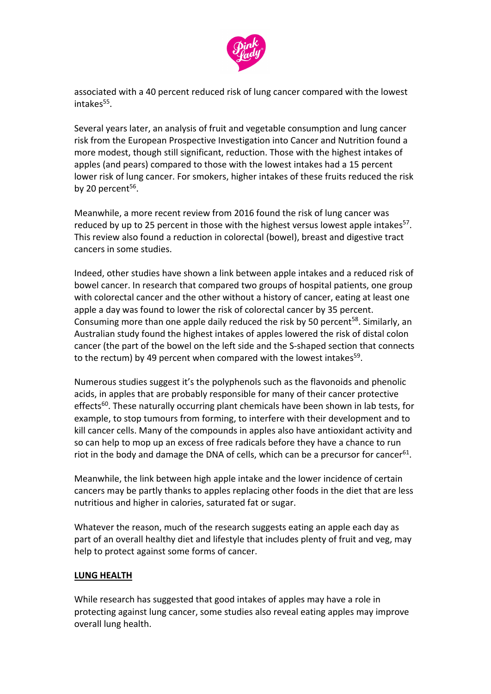

associated with a 40 percent reduced risk of lung cancer compared with the lowest intakes<sup>55</sup>.

Several years later, an analysis of fruit and vegetable consumption and lung cancer risk from the European Prospective Investigation into Cancer and Nutrition found a more modest, though still significant, reduction. Those with the highest intakes of apples (and pears) compared to those with the lowest intakes had a 15 percent lower risk of lung cancer. For smokers, higher intakes of these fruits reduced the risk by 20 percent $56$ .

Meanwhile, a more recent review from 2016 found the risk of lung cancer was reduced by up to 25 percent in those with the highest versus lowest apple intakes<sup>57</sup>. This review also found a reduction in colorectal (bowel), breast and digestive tract cancers in some studies.

Indeed, other studies have shown a link between apple intakes and a reduced risk of bowel cancer. In research that compared two groups of hospital patients, one group with colorectal cancer and the other without a history of cancer, eating at least one apple a day was found to lower the risk of colorectal cancer by 35 percent. Consuming more than one apple daily reduced the risk by 50 percent<sup>58</sup>. Similarly, an Australian study found the highest intakes of apples lowered the risk of distal colon cancer (the part of the bowel on the left side and the S-shaped section that connects to the rectum) by 49 percent when compared with the lowest intakes<sup>59</sup>.

Numerous studies suggest it's the polyphenols such as the flavonoids and phenolic acids, in apples that are probably responsible for many of their cancer protective effects<sup>60</sup>. These naturally occurring plant chemicals have been shown in lab tests, for example, to stop tumours from forming, to interfere with their development and to kill cancer cells. Many of the compounds in apples also have antioxidant activity and so can help to mop up an excess of free radicals before they have a chance to run riot in the body and damage the DNA of cells, which can be a precursor for cancer<sup>61</sup>.

Meanwhile, the link between high apple intake and the lower incidence of certain cancers may be partly thanks to apples replacing other foods in the diet that are less nutritious and higher in calories, saturated fat or sugar.

Whatever the reason, much of the research suggests eating an apple each day as part of an overall healthy diet and lifestyle that includes plenty of fruit and veg, may help to protect against some forms of cancer.

#### **LUNG HEALTH**

While research has suggested that good intakes of apples may have a role in protecting against lung cancer, some studies also reveal eating apples may improve overall lung health.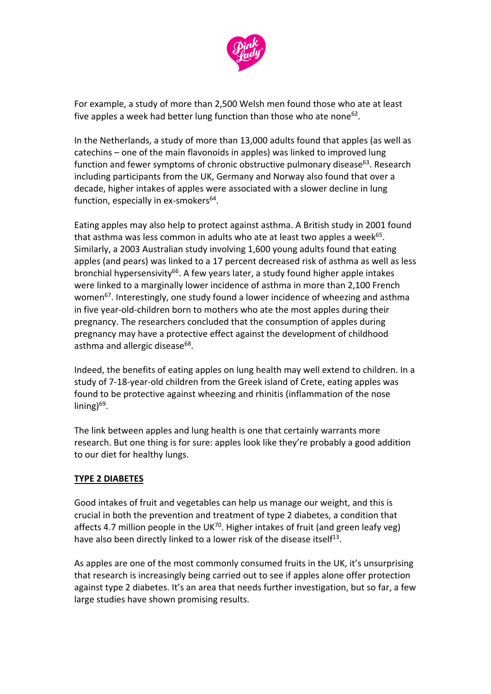

For example, a study of more than 2,500 Welsh men found those who ate at least five apples a week had better lung function than those who ate none<sup>62</sup>.

In the Netherlands, a study of more than 13,000 adults found that apples (as well as catechins – one of the main flavonoids in apples) was linked to improved lung function and fewer symptoms of chronic obstructive pulmonary disease $63$ . Research including participants from the UK, Germany and Norway also found that over a decade, higher intakes of apples were associated with a slower decline in lung function, especially in ex-smokers<sup>64</sup>.

Eating apples may also help to protect against asthma. A British study in 2001 found that asthma was less common in adults who ate at least two apples a week<sup>65</sup>. Similarly, a 2003 Australian study involving 1,600 young adults found that eating apples (and pears) was linked to a 17 percent decreased risk of asthma as well as less bronchial hypersensivity<sup>66</sup>. A few years later, a study found higher apple intakes were linked to a marginally lower incidence of asthma in more than 2,100 French women<sup>67</sup>. Interestingly, one study found a lower incidence of wheezing and asthma in five year-old-children born to mothers who ate the most apples during their pregnancy. The researchers concluded that the consumption of apples during pregnancy may have a protective effect against the development of childhood asthma and allergic disease<sup>68</sup>.

Indeed, the benefits of eating apples on lung health may well extend to children. In a study of 7-18-year-old children from the Greek island of Crete, eating apples was found to be protective against wheezing and rhinitis (inflammation of the nose lining)<sup>69</sup>.

The link between apples and lung health is one that certainly warrants more research. But one thing is for sure: apples look like they're probably a good addition to our diet for healthy lungs.

### **TYPE 2 DIABETES**

Good intakes of fruit and vegetables can help us manage our weight, and this is crucial in both the prevention and treatment of type 2 diabetes, a condition that affects 4.7 million people in the UK<sup>70</sup>. Higher intakes of fruit (and green leafy veg) have also been directly linked to a lower risk of the disease itself<sup>13</sup>.

As apples are one of the most commonly consumed fruits in the UK, it's unsurprising that research is increasingly being carried out to see if apples alone offer protection against type 2 diabetes. It's an area that needs further investigation, but so far, a few large studies have shown promising results.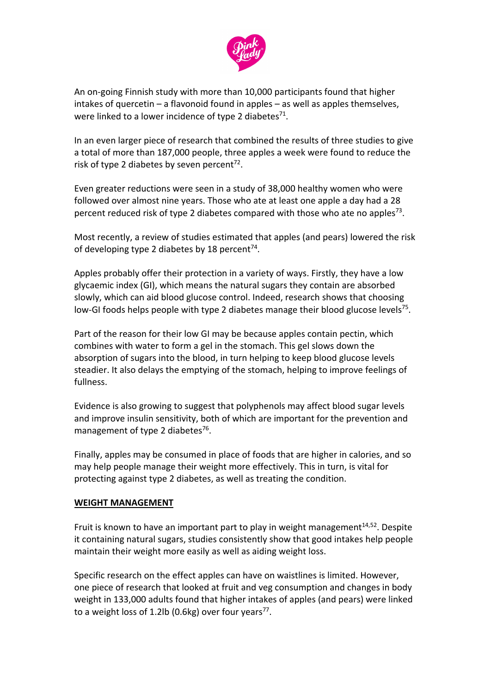

An on-going Finnish study with more than 10,000 participants found that higher intakes of quercetin – a flavonoid found in apples – as well as apples themselves, were linked to a lower incidence of type 2 diabetes<sup>71</sup>.

In an even larger piece of research that combined the results of three studies to give a total of more than 187,000 people, three apples a week were found to reduce the risk of type 2 diabetes by seven percent<sup>72</sup>.

Even greater reductions were seen in a study of 38,000 healthy women who were followed over almost nine years. Those who ate at least one apple a day had a 28 percent reduced risk of type 2 diabetes compared with those who ate no apples<sup>73</sup>.

Most recently, a review of studies estimated that apples (and pears) lowered the risk of developing type 2 diabetes by 18 percent<sup>74</sup>.

Apples probably offer their protection in a variety of ways. Firstly, they have a low glycaemic index (GI), which means the natural sugars they contain are absorbed slowly, which can aid blood glucose control. Indeed, research shows that choosing low-GI foods helps people with type 2 diabetes manage their blood glucose levels<sup>75</sup>.

Part of the reason for their low GI may be because apples contain pectin, which combines with water to form a gel in the stomach. This gel slows down the absorption of sugars into the blood, in turn helping to keep blood glucose levels steadier. It also delays the emptying of the stomach, helping to improve feelings of fullness.

Evidence is also growing to suggest that polyphenols may affect blood sugar levels and improve insulin sensitivity, both of which are important for the prevention and management of type 2 diabetes<sup>76</sup>.

Finally, apples may be consumed in place of foods that are higher in calories, and so may help people manage their weight more effectively. This in turn, is vital for protecting against type 2 diabetes, as well as treating the condition.

### **WEIGHT MANAGEMENT**

Fruit is known to have an important part to play in weight management<sup>14,52</sup>. Despite it containing natural sugars, studies consistently show that good intakes help people maintain their weight more easily as well as aiding weight loss.

Specific research on the effect apples can have on waistlines is limited. However, one piece of research that looked at fruit and veg consumption and changes in body weight in 133,000 adults found that higher intakes of apples (and pears) were linked to a weight loss of 1.2lb (0.6kg) over four years $77$ .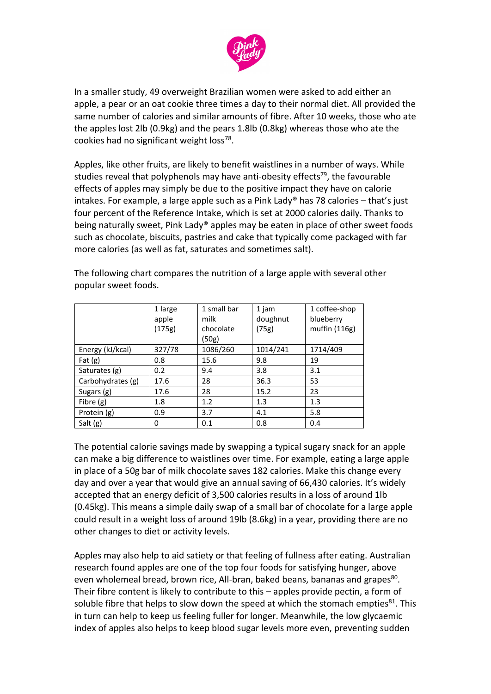

In a smaller study, 49 overweight Brazilian women were asked to add either an apple, a pear or an oat cookie three times a day to their normal diet. All provided the same number of calories and similar amounts of fibre. After 10 weeks, those who ate the apples lost 2lb (0.9kg) and the pears 1.8lb (0.8kg) whereas those who ate the cookies had no significant weight loss<sup>78</sup>.

Apples, like other fruits, are likely to benefit waistlines in a number of ways. While studies reveal that polyphenols may have anti-obesity effects<sup>79</sup>, the favourable effects of apples may simply be due to the positive impact they have on calorie intakes. For example, a large apple such as a Pink Lady® has 78 calories  $-$  that's just four percent of the Reference Intake, which is set at 2000 calories daily. Thanks to being naturally sweet, Pink Lady® apples may be eaten in place of other sweet foods such as chocolate, biscuits, pastries and cake that typically come packaged with far more calories (as well as fat, saturates and sometimes salt).

|                   | 1 large | 1 small bar | 1 jam    | 1 coffee-shop |
|-------------------|---------|-------------|----------|---------------|
|                   | apple   | milk        | doughnut | blueberry     |
|                   | (175g)  | chocolate   | (75g)    | muffin (116g) |
|                   |         | (50g)       |          |               |
| Energy (kJ/kcal)  | 327/78  | 1086/260    | 1014/241 | 1714/409      |
| Fat $(g)$         | 0.8     | 15.6        | 9.8      | 19            |
| Saturates (g)     | 0.2     | 9.4         | 3.8      | 3.1           |
| Carbohydrates (g) | 17.6    | 28          | 36.3     | 53            |
| Sugars (g)        | 17.6    | 28          | 15.2     | 23            |
| Fibre (g)         | 1.8     | 1.2         | 1.3      | 1.3           |
| Protein (g)       | 0.9     | 3.7         | 4.1      | 5.8           |
| Salt (g)          | 0       | 0.1         | 0.8      | 0.4           |

The following chart compares the nutrition of a large apple with several other popular sweet foods.

The potential calorie savings made by swapping a typical sugary snack for an apple can make a big difference to waistlines over time. For example, eating a large apple in place of a 50g bar of milk chocolate saves 182 calories. Make this change every day and over a year that would give an annual saving of 66,430 calories. It's widely accepted that an energy deficit of 3,500 calories results in a loss of around 1lb (0.45kg). This means a simple daily swap of a small bar of chocolate for a large apple could result in a weight loss of around 19lb (8.6kg) in a year, providing there are no other changes to diet or activity levels.

Apples may also help to aid satiety or that feeling of fullness after eating. Australian research found apples are one of the top four foods for satisfying hunger, above even wholemeal bread, brown rice, All-bran, baked beans, bananas and grapes $^{80}$ . Their fibre content is likely to contribute to this – apples provide pectin, a form of soluble fibre that helps to slow down the speed at which the stomach empties  $81$ . This in turn can help to keep us feeling fuller for longer. Meanwhile, the low glycaemic index of apples also helps to keep blood sugar levels more even, preventing sudden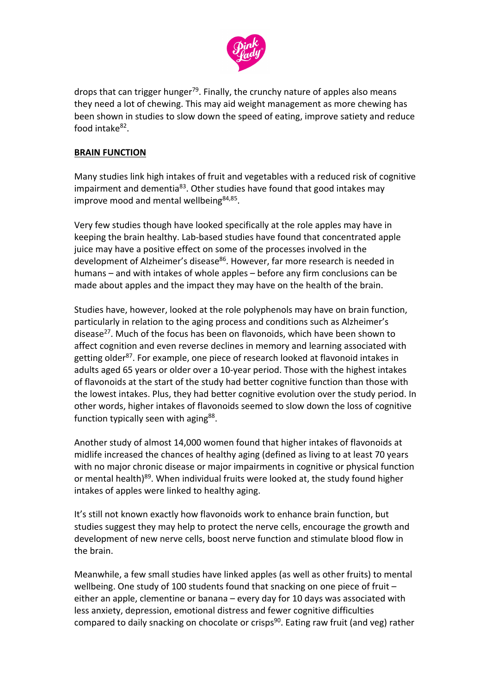

drops that can trigger hunger<sup>79</sup>. Finally, the crunchy nature of apples also means they need a lot of chewing. This may aid weight management as more chewing has been shown in studies to slow down the speed of eating, improve satiety and reduce food intake $82$ .

#### **BRAIN FUNCTION**

Many studies link high intakes of fruit and vegetables with a reduced risk of cognitive impairment and dementia<sup>83</sup>. Other studies have found that good intakes may improve mood and mental wellbeing<sup>84,85</sup>.

Very few studies though have looked specifically at the role apples may have in keeping the brain healthy. Lab-based studies have found that concentrated apple juice may have a positive effect on some of the processes involved in the development of Alzheimer's disease<sup>86</sup>. However, far more research is needed in humans – and with intakes of whole apples – before any firm conclusions can be made about apples and the impact they may have on the health of the brain.

Studies have, however, looked at the role polyphenols may have on brain function, particularly in relation to the aging process and conditions such as Alzheimer's disease<sup>27</sup>. Much of the focus has been on flavonoids, which have been shown to affect cognition and even reverse declines in memory and learning associated with getting older<sup>87</sup>. For example, one piece of research looked at flavonoid intakes in adults aged 65 years or older over a 10-year period. Those with the highest intakes of flavonoids at the start of the study had better cognitive function than those with the lowest intakes. Plus, they had better cognitive evolution over the study period. In other words, higher intakes of flavonoids seemed to slow down the loss of cognitive function typically seen with aging<sup>88</sup>.

Another study of almost 14,000 women found that higher intakes of flavonoids at midlife increased the chances of healthy aging (defined as living to at least 70 years with no major chronic disease or major impairments in cognitive or physical function or mental health)<sup>89</sup>. When individual fruits were looked at, the study found higher intakes of apples were linked to healthy aging.

It's still not known exactly how flavonoids work to enhance brain function, but studies suggest they may help to protect the nerve cells, encourage the growth and development of new nerve cells, boost nerve function and stimulate blood flow in the brain.

Meanwhile, a few small studies have linked apples (as well as other fruits) to mental wellbeing. One study of 100 students found that snacking on one piece of fruit – either an apple, clementine or banana – every day for 10 days was associated with less anxiety, depression, emotional distress and fewer cognitive difficulties compared to daily snacking on chocolate or crisps<sup>90</sup>. Eating raw fruit (and veg) rather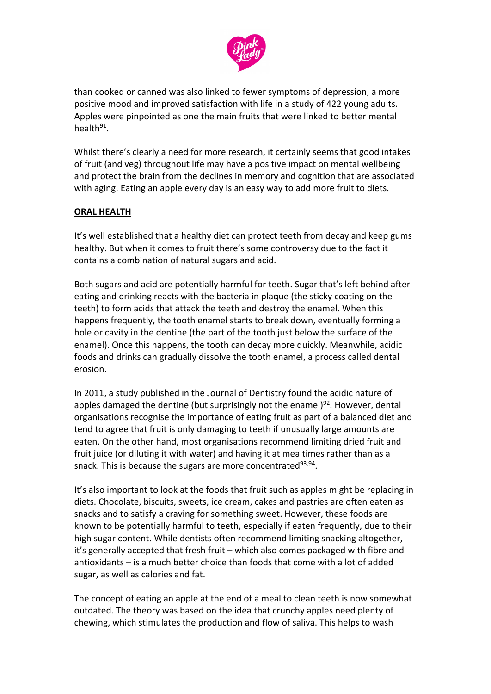

than cooked or canned was also linked to fewer symptoms of depression, a more positive mood and improved satisfaction with life in a study of 422 young adults. Apples were pinpointed as one the main fruits that were linked to better mental health $91$ .

Whilst there's clearly a need for more research, it certainly seems that good intakes of fruit (and veg) throughout life may have a positive impact on mental wellbeing and protect the brain from the declines in memory and cognition that are associated with aging. Eating an apple every day is an easy way to add more fruit to diets.

### **ORAL HEALTH**

It's well established that a healthy diet can protect teeth from decay and keep gums healthy. But when it comes to fruit there's some controversy due to the fact it contains a combination of natural sugars and acid.

Both sugars and acid are potentially harmful for teeth. Sugar that's left behind after eating and drinking reacts with the bacteria in plaque (the sticky coating on the teeth) to form acids that attack the teeth and destroy the enamel. When this happens frequently, the tooth enamel starts to break down, eventually forming a hole or cavity in the dentine (the part of the tooth just below the surface of the enamel). Once this happens, the tooth can decay more quickly. Meanwhile, acidic foods and drinks can gradually dissolve the tooth enamel, a process called dental erosion.

In 2011, a study published in the Journal of Dentistry found the acidic nature of apples damaged the dentine (but surprisingly not the enamel) $92$ . However, dental organisations recognise the importance of eating fruit as part of a balanced diet and tend to agree that fruit is only damaging to teeth if unusually large amounts are eaten. On the other hand, most organisations recommend limiting dried fruit and fruit juice (or diluting it with water) and having it at mealtimes rather than as a snack. This is because the sugars are more concentrated<sup>93,94</sup>.

It's also important to look at the foods that fruit such as apples might be replacing in diets. Chocolate, biscuits, sweets, ice cream, cakes and pastries are often eaten as snacks and to satisfy a craving for something sweet. However, these foods are known to be potentially harmful to teeth, especially if eaten frequently, due to their high sugar content. While dentists often recommend limiting snacking altogether, it's generally accepted that fresh fruit – which also comes packaged with fibre and antioxidants – is a much better choice than foods that come with a lot of added sugar, as well as calories and fat.

The concept of eating an apple at the end of a meal to clean teeth is now somewhat outdated. The theory was based on the idea that crunchy apples need plenty of chewing, which stimulates the production and flow of saliva. This helps to wash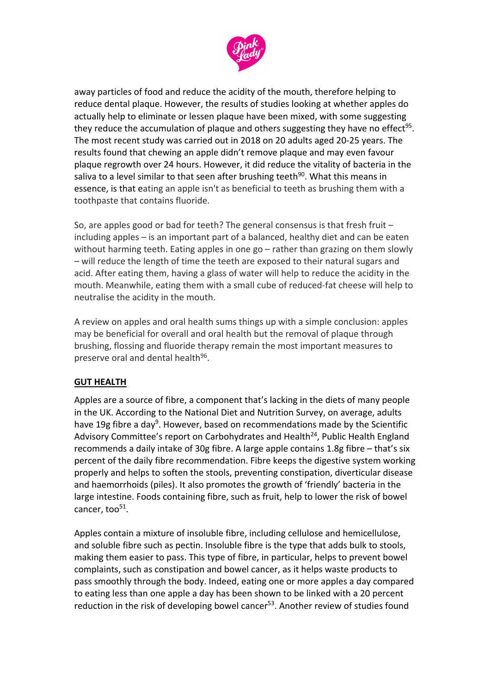

away particles of food and reduce the acidity of the mouth, therefore helping to reduce dental plaque. However, the results of studies looking at whether apples do actually help to eliminate or lessen plaque have been mixed, with some suggesting they reduce the accumulation of plaque and others suggesting they have no effect<sup>95</sup>. The most recent study was carried out in 2018 on 20 adults aged 20-25 years. The results found that chewing an apple didn't remove plaque and may even favour plaque regrowth over 24 hours. However, it did reduce the vitality of bacteria in the saliva to a level similar to that seen after brushing teeth $90$ . What this means in essence, is that eating an apple isn't as beneficial to teeth as brushing them with a toothpaste that contains fluoride.

So, are apples good or bad for teeth? The general consensus is that fresh fruit – including apples – is an important part of a balanced, healthy diet and can be eaten without harming teeth. Eating apples in one go - rather than grazing on them slowly – will reduce the length of time the teeth are exposed to their natural sugars and acid. After eating them, having a glass of water will help to reduce the acidity in the mouth. Meanwhile, eating them with a small cube of reduced-fat cheese will help to neutralise the acidity in the mouth.

A review on apples and oral health sums things up with a simple conclusion: apples may be beneficial for overall and oral health but the removal of plaque through brushing, flossing and fluoride therapy remain the most important measures to preserve oral and dental health<sup>96</sup>.

### **GUT HEALTH**

Apples are a source of fibre, a component that's lacking in the diets of many people in the UK. According to the National Diet and Nutrition Survey, on average, adults have 19g fibre a day<sup>9</sup>. However, based on recommendations made by the Scientific Advisory Committee's report on Carbohydrates and Health<sup>24</sup>, Public Health England recommends a daily intake of 30g fibre. A large apple contains 1.8g fibre – that's six percent of the daily fibre recommendation. Fibre keeps the digestive system working properly and helps to soften the stools, preventing constipation, diverticular disease and haemorrhoids (piles). It also promotes the growth of 'friendly' bacteria in the large intestine. Foods containing fibre, such as fruit, help to lower the risk of bowel cancer, too $51$ .

Apples contain a mixture of insoluble fibre, including cellulose and hemicellulose, and soluble fibre such as pectin. Insoluble fibre is the type that adds bulk to stools, making them easier to pass. This type of fibre, in particular, helps to prevent bowel complaints, such as constipation and bowel cancer, as it helps waste products to pass smoothly through the body. Indeed, eating one or more apples a day compared to eating less than one apple a day has been shown to be linked with a 20 percent reduction in the risk of developing bowel cancer<sup>53</sup>. Another review of studies found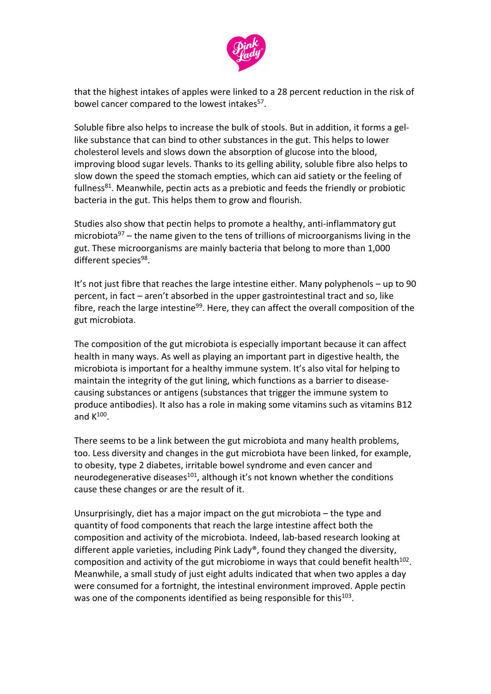

that the highest intakes of apples were linked to a 28 percent reduction in the risk of bowel cancer compared to the lowest intakes<sup>57</sup>.

Soluble fibre also helps to increase the bulk of stools. But in addition, it forms a gellike substance that can bind to other substances in the gut. This helps to lower cholesterol levels and slows down the absorption of glucose into the blood, improving blood sugar levels. Thanks to its gelling ability, soluble fibre also helps to slow down the speed the stomach empties, which can aid satiety or the feeling of fullness $^{81}$ . Meanwhile, pectin acts as a prebiotic and feeds the friendly or probiotic bacteria in the gut. This helps them to grow and flourish.

Studies also show that pectin helps to promote a healthy, anti-inflammatory gut microbiota<sup>97</sup> – the name given to the tens of trillions of microorganisms living in the gut. These microorganisms are mainly bacteria that belong to more than 1,000 different species<sup>98</sup>.

It's not just fibre that reaches the large intestine either. Many polyphenols – up to 90 percent, in fact – aren't absorbed in the upper gastrointestinal tract and so, like fibre, reach the large intestine<sup>99</sup>. Here, they can affect the overall composition of the gut microbiota.

The composition of the gut microbiota is especially important because it can affect health in many ways. As well as playing an important part in digestive health, the microbiota is important for a healthy immune system. It's also vital for helping to maintain the integrity of the gut lining, which functions as a barrier to diseasecausing substances or antigens (substances that trigger the immune system to produce antibodies). It also has a role in making some vitamins such as vitamins B12 and  $K^{100}$ .

There seems to be a link between the gut microbiota and many health problems, too. Less diversity and changes in the gut microbiota have been linked, for example, to obesity, type 2 diabetes, irritable bowel syndrome and even cancer and neurodegenerative diseases $^{101}$ , although it's not known whether the conditions cause these changes or are the result of it.

Unsurprisingly, diet has a major impact on the gut microbiota – the type and quantity of food components that reach the large intestine affect both the composition and activity of the microbiota. Indeed, lab-based research looking at different apple varieties, including Pink Lady®, found they changed the diversity, composition and activity of the gut microbiome in ways that could benefit health $102$ . Meanwhile, a small study of just eight adults indicated that when two apples a day were consumed for a fortnight, the intestinal environment improved. Apple pectin was one of the components identified as being responsible for this<sup>103</sup>.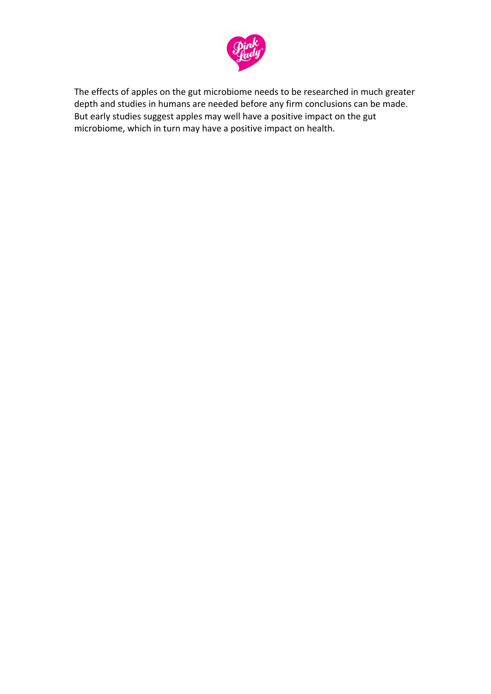

The effects of apples on the gut microbiome needs to be researched in much greater depth and studies in humans are needed before any firm conclusions can be made. But early studies suggest apples may well have a positive impact on the gut microbiome, which in turn may have a positive impact on health.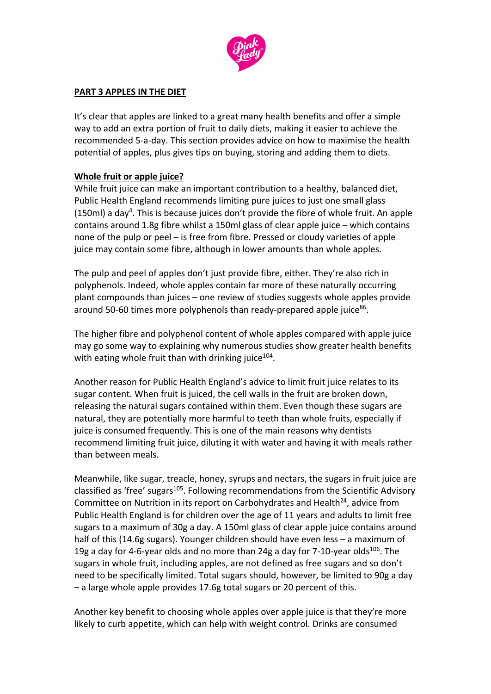

#### **PART 3 APPLES IN THE DIET**

It's clear that apples are linked to a great many health benefits and offer a simple way to add an extra portion of fruit to daily diets, making it easier to achieve the recommended 5-a-day. This section provides advice on how to maximise the health potential of apples, plus gives tips on buying, storing and adding them to diets.

#### **Whole fruit or apple juice?**

While fruit juice can make an important contribution to a healthy, balanced diet, Public Health England recommends limiting pure juices to just one small glass (150ml) a day<sup>4</sup>. This is because juices don't provide the fibre of whole fruit. An apple contains around 1.8g fibre whilst a 150ml glass of clear apple juice – which contains none of the pulp or peel – is free from fibre. Pressed or cloudy varieties of apple juice may contain some fibre, although in lower amounts than whole apples.

The pulp and peel of apples don't just provide fibre, either. They're also rich in polyphenols. Indeed, whole apples contain far more of these naturally occurring plant compounds than juices – one review of studies suggests whole apples provide around 50-60 times more polyphenols than ready-prepared apple juice $86$ .

The higher fibre and polyphenol content of whole apples compared with apple juice may go some way to explaining why numerous studies show greater health benefits with eating whole fruit than with drinking juice $104$ .

Another reason for Public Health England's advice to limit fruit juice relates to its sugar content. When fruit is juiced, the cell walls in the fruit are broken down, releasing the natural sugars contained within them. Even though these sugars are natural, they are potentially more harmful to teeth than whole fruits, especially if juice is consumed frequently. This is one of the main reasons why dentists recommend limiting fruit juice, diluting it with water and having it with meals rather than between meals.

Meanwhile, like sugar, treacle, honey, syrups and nectars, the sugars in fruit juice are classified as 'free' sugars<sup>105</sup>. Following recommendations from the Scientific Advisory Committee on Nutrition in its report on Carbohydrates and Health $^{24}$ , advice from Public Health England is for children over the age of 11 years and adults to limit free sugars to a maximum of 30g a day. A 150ml glass of clear apple juice contains around half of this (14.6g sugars). Younger children should have even less – a maximum of 19g a day for 4-6-year olds and no more than 24g a day for 7-10-year olds<sup>106</sup>. The sugars in whole fruit, including apples, are not defined as free sugars and so don't need to be specifically limited. Total sugars should, however, be limited to 90g a day – a large whole apple provides 17.6g total sugars or 20 percent of this.

Another key benefit to choosing whole apples over apple juice is that they're more likely to curb appetite, which can help with weight control. Drinks are consumed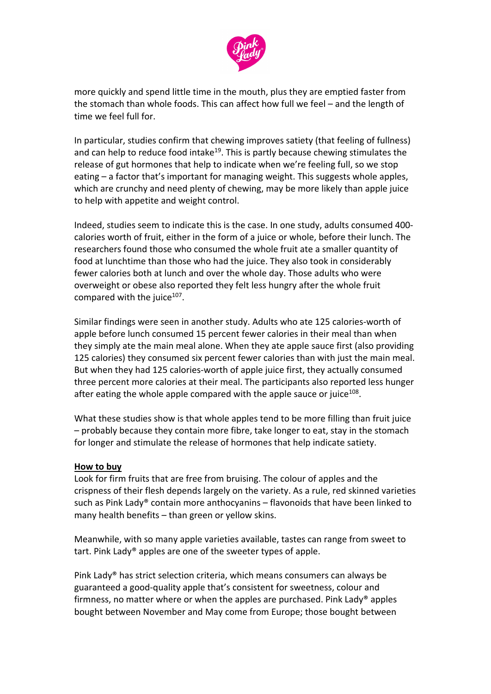

more quickly and spend little time in the mouth, plus they are emptied faster from the stomach than whole foods. This can affect how full we feel – and the length of time we feel full for.

In particular, studies confirm that chewing improves satiety (that feeling of fullness) and can help to reduce food intake<sup>19</sup>. This is partly because chewing stimulates the release of gut hormones that help to indicate when we're feeling full, so we stop eating – a factor that's important for managing weight. This suggests whole apples, which are crunchy and need plenty of chewing, may be more likely than apple juice to help with appetite and weight control.

Indeed, studies seem to indicate this is the case. In one study, adults consumed 400 calories worth of fruit, either in the form of a juice or whole, before their lunch. The researchers found those who consumed the whole fruit ate a smaller quantity of food at lunchtime than those who had the juice. They also took in considerably fewer calories both at lunch and over the whole day. Those adults who were overweight or obese also reported they felt less hungry after the whole fruit compared with the juice $107$ .

Similar findings were seen in another study. Adults who ate 125 calories-worth of apple before lunch consumed 15 percent fewer calories in their meal than when they simply ate the main meal alone. When they ate apple sauce first (also providing 125 calories) they consumed six percent fewer calories than with just the main meal. But when they had 125 calories-worth of apple juice first, they actually consumed three percent more calories at their meal. The participants also reported less hunger after eating the whole apple compared with the apple sauce or juice $108$ .

What these studies show is that whole apples tend to be more filling than fruit juice – probably because they contain more fibre, take longer to eat, stay in the stomach for longer and stimulate the release of hormones that help indicate satiety.

#### **How to buy**

Look for firm fruits that are free from bruising. The colour of apples and the crispness of their flesh depends largely on the variety. As a rule, red skinned varieties such as Pink Lady® contain more anthocyanins – flavonoids that have been linked to many health benefits – than green or yellow skins.

Meanwhile, with so many apple varieties available, tastes can range from sweet to tart. Pink Lady® apples are one of the sweeter types of apple.

Pink Lady® has strict selection criteria, which means consumers can always be guaranteed a good-quality apple that's consistent for sweetness, colour and firmness, no matter where or when the apples are purchased. Pink Lady® apples bought between November and May come from Europe; those bought between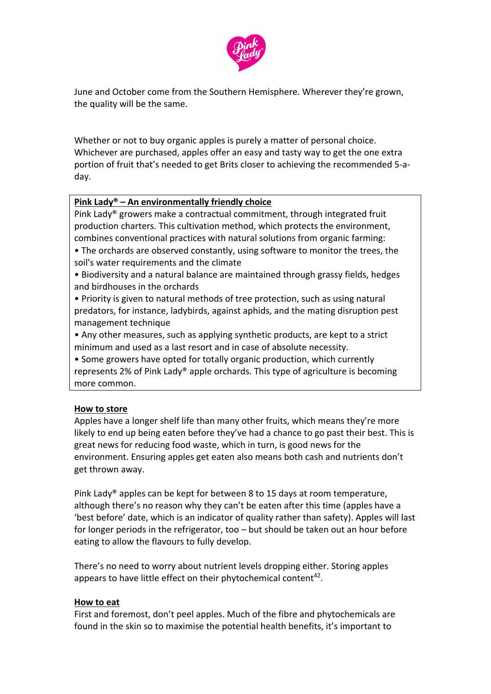

June and October come from the Southern Hemisphere. Wherever they're grown, the quality will be the same.

Whether or not to buy organic apples is purely a matter of personal choice. Whichever are purchased, apples offer an easy and tasty way to get the one extra portion of fruit that's needed to get Brits closer to achieving the recommended 5-aday.

### **Pink Lady® – An environmentally friendly choice**

Pink Lady® growers make a contractual commitment, through integrated fruit production charters. This cultivation method, which protects the environment, combines conventional practices with natural solutions from organic farming:

- The orchards are observed constantly, using software to monitor the trees, the soil's water requirements and the climate
- Biodiversity and a natural balance are maintained through grassy fields, hedges and birdhouses in the orchards
- Priority is given to natural methods of tree protection, such as using natural predators, for instance, ladybirds, against aphids, and the mating disruption pest management technique
- Any other measures, such as applying synthetic products, are kept to a strict minimum and used as a last resort and in case of absolute necessity.
- Some growers have opted for totally organic production, which currently represents 2% of Pink Lady® apple orchards. This type of agriculture is becoming more common.

### **How to store**

Apples have a longer shelf life than many other fruits, which means they're more likely to end up being eaten before they've had a chance to go past their best. This is great news for reducing food waste, which in turn, is good news for the environment. Ensuring apples get eaten also means both cash and nutrients don't get thrown away.

Pink Lady® apples can be kept for between 8 to 15 days at room temperature, although there's no reason why they can't be eaten after this time (apples have a 'best before' date, which is an indicator of quality rather than safety). Apples will last for longer periods in the refrigerator, too – but should be taken out an hour before eating to allow the flavours to fully develop.

There's no need to worry about nutrient levels dropping either. Storing apples appears to have little effect on their phytochemical content<sup>42</sup>.

#### **How to eat**

First and foremost, don't peel apples. Much of the fibre and phytochemicals are found in the skin so to maximise the potential health benefits, it's important to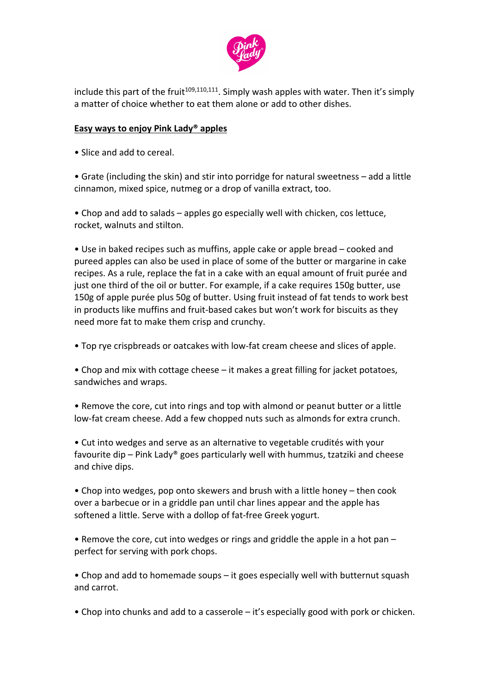

include this part of the fruit<sup>109,110,111</sup>. Simply wash apples with water. Then it's simply a matter of choice whether to eat them alone or add to other dishes.

### **Easy ways to enjoy Pink Lady® apples**

• Slice and add to cereal.

• Grate (including the skin) and stir into porridge for natural sweetness – add a little cinnamon, mixed spice, nutmeg or a drop of vanilla extract, too.

• Chop and add to salads – apples go especially well with chicken, cos lettuce, rocket, walnuts and stilton.

• Use in baked recipes such as muffins, apple cake or apple bread – cooked and pureed apples can also be used in place of some of the butter or margarine in cake recipes. As a rule, replace the fat in a cake with an equal amount of fruit purée and just one third of the oil or butter. For example, if a cake requires 150g butter, use 150g of apple purée plus 50g of butter. Using fruit instead of fat tends to work best in products like muffins and fruit-based cakes but won't work for biscuits as they need more fat to make them crisp and crunchy.

• Top rye crispbreads or oatcakes with low-fat cream cheese and slices of apple.

• Chop and mix with cottage cheese – it makes a great filling for jacket potatoes, sandwiches and wraps.

• Remove the core, cut into rings and top with almond or peanut butter or a little low-fat cream cheese. Add a few chopped nuts such as almonds for extra crunch.

• Cut into wedges and serve as an alternative to vegetable crudités with your favourite dip – Pink Lady® goes particularly well with hummus, tzatziki and cheese and chive dips.

• Chop into wedges, pop onto skewers and brush with a little honey – then cook over a barbecue or in a griddle pan until char lines appear and the apple has softened a little. Serve with a dollop of fat-free Greek yogurt.

• Remove the core, cut into wedges or rings and griddle the apple in a hot pan – perfect for serving with pork chops.

• Chop and add to homemade soups – it goes especially well with butternut squash and carrot.

• Chop into chunks and add to a casserole – it's especially good with pork or chicken.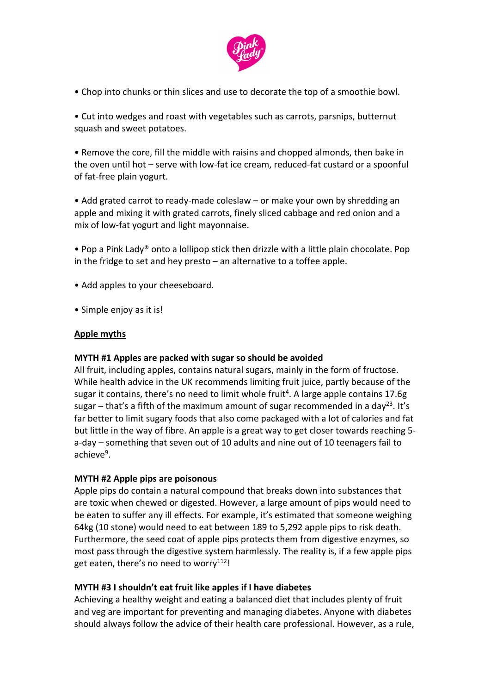

• Chop into chunks or thin slices and use to decorate the top of a smoothie bowl.

• Cut into wedges and roast with vegetables such as carrots, parsnips, butternut squash and sweet potatoes.

• Remove the core, fill the middle with raisins and chopped almonds, then bake in the oven until hot – serve with low-fat ice cream, reduced-fat custard or a spoonful of fat-free plain yogurt.

• Add grated carrot to ready-made coleslaw – or make your own by shredding an apple and mixing it with grated carrots, finely sliced cabbage and red onion and a mix of low-fat yogurt and light mayonnaise.

- Pop a Pink Lady® onto a lollipop stick then drizzle with a little plain chocolate. Pop in the fridge to set and hey presto – an alternative to a toffee apple.
- Add apples to your cheeseboard.
- Simple enjoy as it is!

#### **Apple myths**

#### **MYTH #1 Apples are packed with sugar so should be avoided**

All fruit, including apples, contains natural sugars, mainly in the form of fructose. While health advice in the UK recommends limiting fruit juice, partly because of the sugar it contains, there's no need to limit whole fruit<sup>4</sup>. A large apple contains 17.6g sugar – that's a fifth of the maximum amount of sugar recommended in a day<sup>23</sup>. It's far better to limit sugary foods that also come packaged with a lot of calories and fat but little in the way of fibre. An apple is a great way to get closer towards reaching 5 a-day – something that seven out of 10 adults and nine out of 10 teenagers fail to achieve<sup>9</sup>.

#### **MYTH #2 Apple pips are poisonous**

Apple pips do contain a natural compound that breaks down into substances that are toxic when chewed or digested. However, a large amount of pips would need to be eaten to suffer any ill effects. For example, it's estimated that someone weighing 64kg (10 stone) would need to eat between 189 to 5,292 apple pips to risk death. Furthermore, the seed coat of apple pips protects them from digestive enzymes, so most pass through the digestive system harmlessly. The reality is, if a few apple pips get eaten, there's no need to worry<sup>112</sup>!

#### **MYTH #3 I shouldn't eat fruit like apples if I have diabetes**

Achieving a healthy weight and eating a balanced diet that includes plenty of fruit and veg are important for preventing and managing diabetes. Anyone with diabetes should always follow the advice of their health care professional. However, as a rule,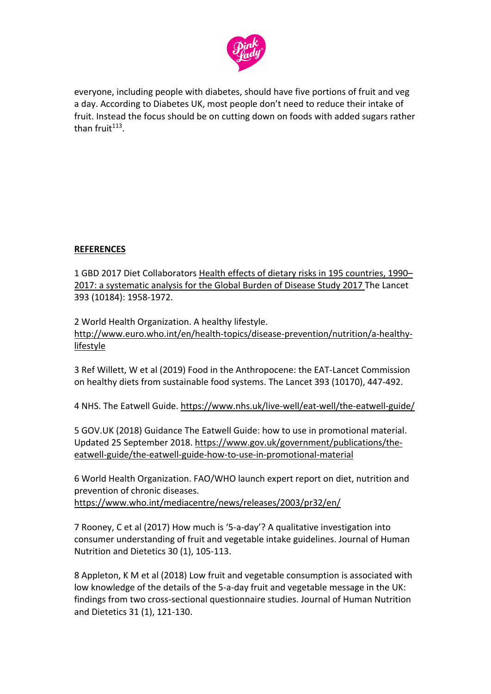

everyone, including people with diabetes, should have five portions of fruit and veg a day. According to Diabetes UK, most people don't need to reduce their intake of fruit. Instead the focus should be on cutting down on foods with added sugars rather than  $fruit^{113}$ .

## **REFERENCES**

1 GBD 2017 Diet Collaborators [Health effects of dietary risks in 195 countries, 1990–](https://www.thelancet.com/journals/lancet/article/PIIS0140-6736(19)30041-8/fulltext) [2017: a systematic analysis for the Global Burden of Disease Study 2017](https://www.thelancet.com/journals/lancet/article/PIIS0140-6736(19)30041-8/fulltext) The Lancet 393 (10184): 1958-1972.

2 World Health Organization. A healthy lifestyle. [http://www.euro.who.int/en/health-topics/disease-prevention/nutrition/a-healthy](http://www.euro.who.int/en/health-topics/disease-prevention/nutrition/a-healthy-lifestyle)[lifestyle](http://www.euro.who.int/en/health-topics/disease-prevention/nutrition/a-healthy-lifestyle)

3 Ref Willett, W et al (2019) Food in the Anthropocene: the EAT-Lancet Commission on healthy diets from sustainable food systems. The Lancet 393 (10170), 447-492.

4 NHS. The Eatwell Guide.<https://www.nhs.uk/live-well/eat-well/the-eatwell-guide/>

5 GOV.UK (2018) Guidance The Eatwell Guide: how to use in promotional material. Updated 25 September 2018. [https://www.gov.uk/government/publications/the](https://www.gov.uk/government/publications/the-eatwell-guide/the-eatwell-guide-how-to-use-in-promotional-material)[eatwell-guide/the-eatwell-guide-how-to-use-in-promotional-material](https://www.gov.uk/government/publications/the-eatwell-guide/the-eatwell-guide-how-to-use-in-promotional-material)

6 World Health Organization. FAO/WHO launch expert report on diet, nutrition and prevention of chronic diseases.

<https://www.who.int/mediacentre/news/releases/2003/pr32/en/>

7 Rooney, C et al (2017) How much is '5-a-day'? A qualitative investigation into consumer understanding of fruit and vegetable intake guidelines. Journal of Human Nutrition and Dietetics 30 (1), 105-113.

8 Appleton, K M et al (2018) Low fruit and vegetable consumption is associated with low knowledge of the details of the 5-a-day fruit and vegetable message in the UK: findings from two cross-sectional questionnaire studies. Journal of Human Nutrition and Dietetics 31 (1), 121-130.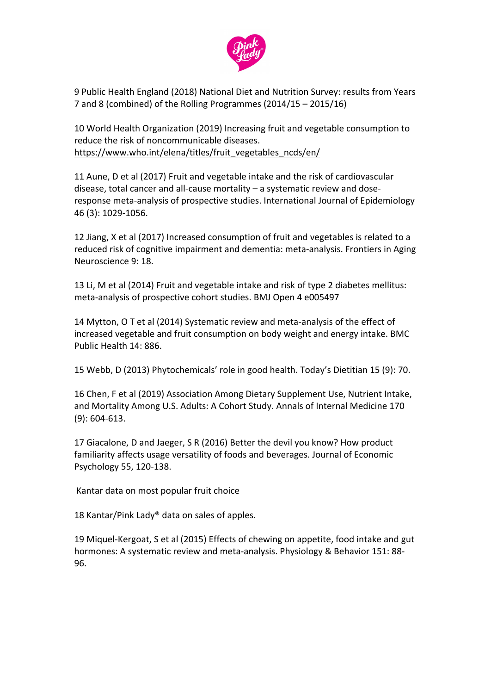

9 Public Health England (2018) National Diet and Nutrition Survey: results from Years 7 and 8 (combined) of the Rolling Programmes (2014/15 – 2015/16)

10 World Health Organization (2019) Increasing fruit and vegetable consumption to reduce the risk of noncommunicable diseases. [https://www.who.int/elena/titles/fruit\\_vegetables\\_ncds/en/](https://www.who.int/elena/titles/fruit_vegetables_ncds/en/)

11 Aune, D et al (2017) Fruit and vegetable intake and the risk of cardiovascular disease, total cancer and all-cause mortality – a systematic review and doseresponse meta-analysis of prospective studies. International Journal of Epidemiology 46 (3): 1029-1056.

12 Jiang, X et al (2017) Increased consumption of fruit and vegetables is related to a reduced risk of cognitive impairment and dementia: meta-analysis. Frontiers in Aging Neuroscience 9: 18.

13 Li, M et al (2014) Fruit and vegetable intake and risk of type 2 diabetes mellitus: meta-analysis of prospective cohort studies. BMJ Open 4 e005497

14 Mytton, O T et al (2014) Systematic review and meta-analysis of the effect of increased vegetable and fruit consumption on body weight and energy intake. BMC Public Health 14: 886.

15 Webb, D (2013) Phytochemicals' role in good health. Today's Dietitian 15 (9): 70.

16 Chen, F et al (2019) Association Among Dietary Supplement Use, Nutrient Intake, and Mortality Among U.S. Adults: A Cohort Study. Annals of Internal Medicine 170 (9): 604-613.

17 Giacalone, D and Jaeger, S R (2016) Better the devil you know? How product familiarity affects usage versatility of foods and beverages. Journal of Economic Psychology 55, 120-138.

Kantar data on most popular fruit choice

18 Kantar/Pink Lady® data on sales of apples.

19 Miquel-Kergoat, S et al (2015) Effects of chewing on appetite, food intake and gut hormones: A systematic review and meta-analysis. Physiology & Behavior 151: 88- 96.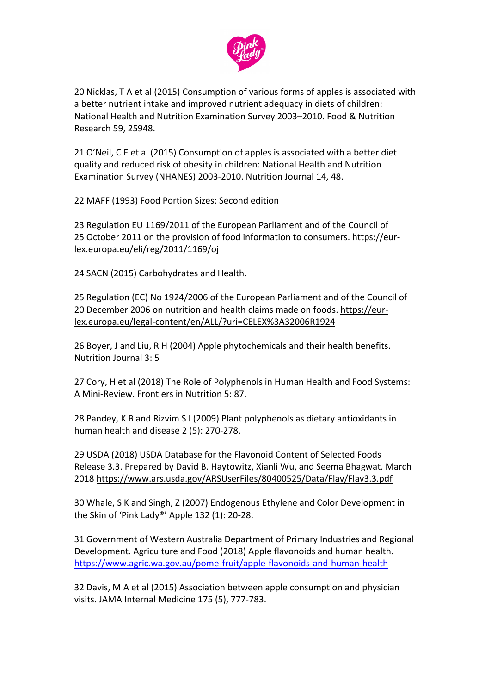

20 Nicklas, T A et al (2015) Consumption of various forms of apples is associated with a better nutrient intake and improved nutrient adequacy in diets of children: National Health and Nutrition Examination Survey 2003–2010. Food & Nutrition Research 59, 25948.

21 O'Neil, C E et al (2015) Consumption of apples is associated with a better diet quality and reduced risk of obesity in children: National Health and Nutrition Examination Survey (NHANES) 2003-2010. Nutrition Journal 14, 48.

22 MAFF (1993) Food Portion Sizes: Second edition

23 Regulation EU 1169/2011 of the European Parliament and of the Council of 25 October 2011 on the provision of food information to consumers. [https://eur](https://eur-lex.europa.eu/eli/reg/2011/1169/oj)[lex.europa.eu/eli/reg/2011/1169/oj](https://eur-lex.europa.eu/eli/reg/2011/1169/oj)

24 SACN (2015) Carbohydrates and Health.

25 Regulation (EC) No 1924/2006 of the European Parliament and of the Council of 20 December 2006 on nutrition and health claims made on foods. [https://eur](https://eur-lex.europa.eu/legal-content/en/ALL/?uri=CELEX%3A32006R1924)[lex.europa.eu/legal-content/en/ALL/?uri=CELEX%3A32006R1924](https://eur-lex.europa.eu/legal-content/en/ALL/?uri=CELEX%3A32006R1924)

26 Boyer, J and Liu, R H (2004) Apple phytochemicals and their health benefits. Nutrition Journal 3: 5

27 Cory, H et al (2018) The Role of Polyphenols in Human Health and Food Systems: A Mini-Review. Frontiers in Nutrition 5: 87.

28 Pandey, K B and Rizvim S I (2009) Plant polyphenols as dietary antioxidants in human health and disease 2 (5): 270-278.

29 USDA (2018) USDA Database for the Flavonoid Content of Selected Foods Release 3.3. Prepared by David B. Haytowitz, Xianli Wu, and Seema Bhagwat. March 2018 <https://www.ars.usda.gov/ARSUserFiles/80400525/Data/Flav/Flav3.3.pdf>

30 Whale, S K and Singh, Z (2007) Endogenous Ethylene and Color Development in the Skin of 'Pink Lady®' Apple 132 (1): 20-28.

31 Government of Western Australia Department of Primary Industries and Regional Development. Agriculture and Food (2018) Apple flavonoids and human health. <https://www.agric.wa.gov.au/pome-fruit/apple-flavonoids-and-human-health>

32 Davis, M A et al (2015) Association between apple consumption and physician visits. JAMA Internal Medicine 175 (5), 777-783.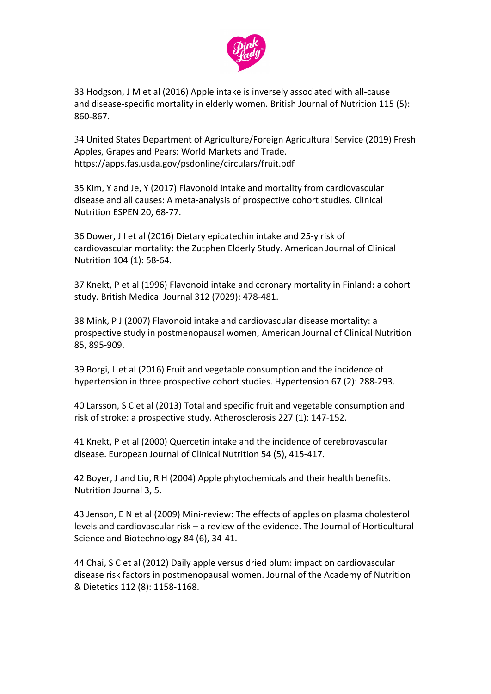

33 Hodgson, J M et al (2016) Apple intake is inversely associated with all-cause and disease-specific mortality in elderly women. British Journal of Nutrition 115 (5): 860-867.

34 United States Department of Agriculture/Foreign Agricultural Service (2019) Fresh Apples, Grapes and Pears: World Markets and Trade. https://apps.fas.usda.gov/psdonline/circulars/fruit.pdf

35 Kim, Y and Je, Y (2017) Flavonoid intake and mortality from cardiovascular disease and all causes: A meta-analysis of prospective cohort studies. Clinical Nutrition ESPEN 20, 68-77.

36 Dower, J I et al (2016) Dietary epicatechin intake and 25-y risk of cardiovascular mortality: the Zutphen Elderly Study. American Journal of Clinical Nutrition 104 (1): 58-64.

37 Knekt, P et al (1996) Flavonoid intake and coronary mortality in Finland: a cohort study. British Medical Journal 312 (7029): 478-481.

38 Mink, P J (2007) Flavonoid intake and cardiovascular disease mortality: a prospective study in postmenopausal women, American Journal of Clinical Nutrition 85, 895-909.

39 Borgi, L et al (2016) Fruit and vegetable consumption and the incidence of hypertension in three prospective cohort studies. Hypertension 67 (2): 288-293.

40 Larsson, S C et al (2013) Total and specific fruit and vegetable consumption and risk of stroke: a prospective study. Atherosclerosis 227 (1): 147-152.

41 Knekt, P et al (2000) Quercetin intake and the incidence of cerebrovascular disease. European Journal of Clinical Nutrition 54 (5), 415-417.

42 Boyer, J and Liu, R H (2004) Apple phytochemicals and their health benefits. Nutrition Journal 3, 5.

43 Jenson, E N et al (2009) Mini-review: The effects of apples on plasma cholesterol levels and cardiovascular risk – a review of the evidence. The Journal of Horticultural Science and Biotechnology 84 (6), 34-41.

44 Chai, S C et al (2012) Daily apple versus dried plum: impact on cardiovascular disease risk factors in postmenopausal women. Journal of the Academy of Nutrition & Dietetics 112 (8): 1158-1168.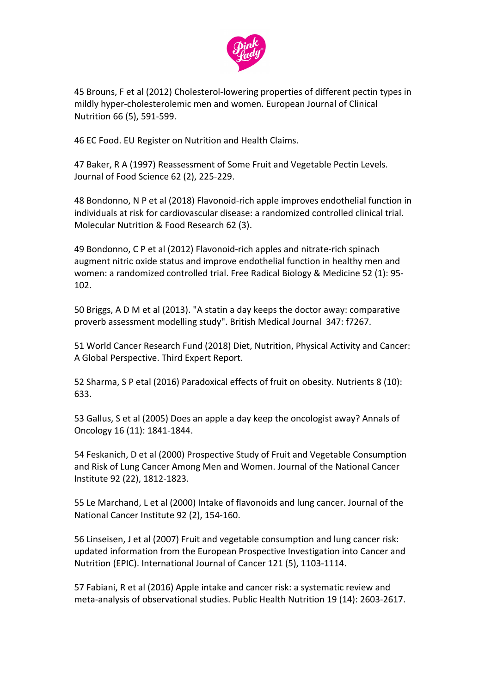

45 Brouns, F et al (2012) Cholesterol-lowering properties of different pectin types in mildly hyper-cholesterolemic men and women. European Journal of Clinical Nutrition 66 (5), 591-599.

46 EC Food. EU Register on Nutrition and Health Claims.

47 Baker, R A (1997) Reassessment of Some Fruit and Vegetable Pectin Levels. Journal of Food Science 62 (2), 225-229.

48 Bondonno, N P et al (2018) Flavonoid-rich apple improves endothelial function in individuals at risk for cardiovascular disease: a randomized controlled clinical trial. Molecular Nutrition & Food Research 62 (3).

49 Bondonno, C P et al (2012) Flavonoid-rich apples and nitrate-rich spinach augment nitric oxide status and improve endothelial function in healthy men and women: a randomized controlled trial. Free Radical Biology & Medicine 52 (1): 95- 102.

50 Briggs, A D M et al (2013). "A statin a day keeps the doctor away: comparative proverb assessment modelling study". British Medical Journal 347: f7267.

51 World Cancer Research Fund (2018) Diet, Nutrition, Physical Activity and Cancer: A Global Perspective. Third Expert Report.

52 Sharma, S P etal (2016) Paradoxical effects of fruit on obesity. Nutrients 8 (10): 633.

53 Gallus, S et al (2005) Does an apple a day keep the oncologist away? Annals of Oncology 16 (11): 1841-1844.

54 Feskanich, D et al (2000) Prospective Study of Fruit and Vegetable Consumption and Risk of Lung Cancer Among Men and Women. Journal of the National Cancer Institute 92 (22), 1812-1823.

55 Le Marchand, L et al (2000) Intake of flavonoids and lung cancer. Journal of the National Cancer Institute 92 (2), 154-160.

56 Linseisen, J et al (2007) Fruit and vegetable consumption and lung cancer risk: updated information from the European Prospective Investigation into Cancer and Nutrition (EPIC). International Journal of Cancer 121 (5), 1103-1114.

57 Fabiani, R et al (2016) Apple intake and cancer risk: a systematic review and meta-analysis of observational studies. Public Health Nutrition 19 (14): 2603-2617.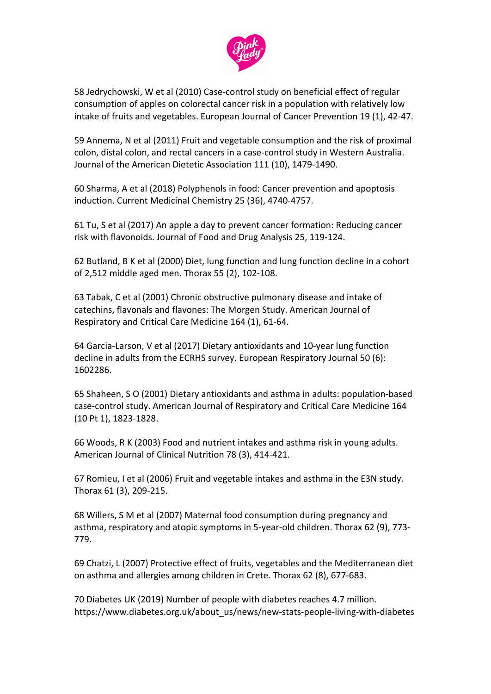

58 Jedrychowski, W et al (2010) Case-control study on beneficial effect of regular consumption of apples on colorectal cancer risk in a population with relatively low intake of fruits and vegetables. European Journal of Cancer Prevention 19 (1), 42-47.

59 Annema, N et al (2011) Fruit and vegetable consumption and the risk of proximal colon, distal colon, and rectal cancers in a case-control study in Western Australia. Journal of the American Dietetic Association 111 (10), 1479-1490.

60 Sharma, A et al (2018) Polyphenols in food: Cancer prevention and apoptosis induction. Current Medicinal Chemistry 25 (36), 4740-4757.

61 Tu, S et al (2017) An apple a day to prevent cancer formation: Reducing cancer risk with flavonoids. Journal of Food and Drug Analysis 25, 119-124.

62 Butland, B K et al (2000) Diet, lung function and lung function decline in a cohort of 2,512 middle aged men. Thorax 55 (2), 102-108.

63 Tabak, C et al (2001) Chronic obstructive pulmonary disease and intake of catechins, flavonals and flavones: The Morgen Study. American Journal of Respiratory and Critical Care Medicine 164 (1), 61-64.

64 Garcia-Larson, V et al (2017) Dietary antioxidants and 10-year lung function decline in adults from the ECRHS survey. European Respiratory Journal 50 (6): 1602286.

65 Shaheen, S O (2001) Dietary antioxidants and asthma in adults: population-based case-control study. American Journal of Respiratory and Critical Care Medicine 164 (10 Pt 1), 1823-1828.

66 Woods, R K (2003) Food and nutrient intakes and asthma risk in young adults. American Journal of Clinical Nutrition 78 (3), 414-421.

67 Romieu, I et al (2006) Fruit and vegetable intakes and asthma in the E3N study. Thorax 61 (3), 209-215.

68 Willers, S M et al (2007) Maternal food consumption during pregnancy and asthma, respiratory and atopic symptoms in 5-year-old children. Thorax 62 (9), 773- 779.

69 Chatzi, L (2007) Protective effect of fruits, vegetables and the Mediterranean diet on asthma and allergies among children in Crete. Thorax 62 (8), 677-683.

70 Diabetes UK (2019) Number of people with diabetes reaches 4.7 million. https://www.diabetes.org.uk/about\_us/news/new-stats-people-living-with-diabetes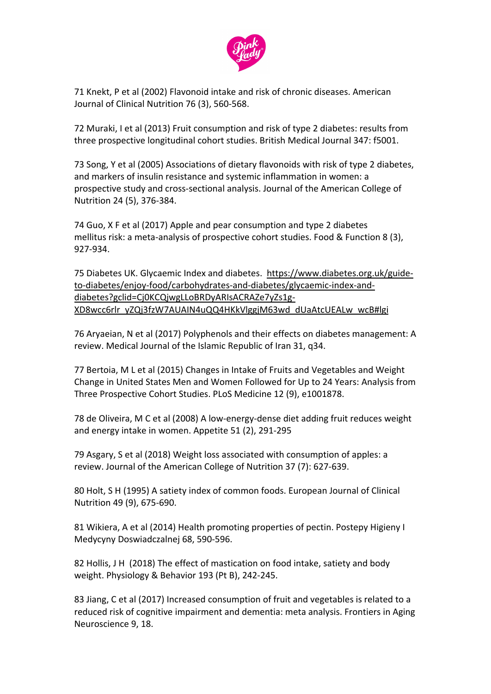

71 Knekt, P et al (2002) Flavonoid intake and risk of chronic diseases. American Journal of Clinical Nutrition 76 (3), 560-568.

72 Muraki, I et al (2013) Fruit consumption and risk of type 2 diabetes: results from three prospective longitudinal cohort studies. British Medical Journal 347: f5001.

73 Song, Y et al (2005) Associations of dietary flavonoids with risk of type 2 diabetes, and markers of insulin resistance and systemic inflammation in women: a prospective study and cross-sectional analysis. Journal of the American College of Nutrition 24 (5), 376-384.

74 Guo, X F et al (2017) Apple and pear consumption and type 2 diabetes mellitus risk: a meta-analysis of prospective cohort studies. Food & Function 8 (3), 927-934.

75 Diabetes UK. Glycaemic Index and diabetes. [https://www.diabetes.org.uk/guide](https://www.diabetes.org.uk/guide-to-diabetes/enjoy-food/carbohydrates-and-diabetes/glycaemic-index-and-diabetes?gclid=Cj0KCQjwgLLoBRDyARIsACRAZe7yZs1g-XD8wcc6rlr_yZQj3fzW7AUAIN4uQQ4HKkVlggjM63wd_dUaAtcUEALw_wcB#lgi)[to-diabetes/enjoy-food/carbohydrates-and-diabetes/glycaemic-index-and](https://www.diabetes.org.uk/guide-to-diabetes/enjoy-food/carbohydrates-and-diabetes/glycaemic-index-and-diabetes?gclid=Cj0KCQjwgLLoBRDyARIsACRAZe7yZs1g-XD8wcc6rlr_yZQj3fzW7AUAIN4uQQ4HKkVlggjM63wd_dUaAtcUEALw_wcB#lgi)[diabetes?gclid=Cj0KCQjwgLLoBRDyARIsACRAZe7yZs1g-](https://www.diabetes.org.uk/guide-to-diabetes/enjoy-food/carbohydrates-and-diabetes/glycaemic-index-and-diabetes?gclid=Cj0KCQjwgLLoBRDyARIsACRAZe7yZs1g-XD8wcc6rlr_yZQj3fzW7AUAIN4uQQ4HKkVlggjM63wd_dUaAtcUEALw_wcB#lgi)[XD8wcc6rlr\\_yZQj3fzW7AUAIN4uQQ4HKkVlggjM63wd\\_dUaAtcUEALw\\_wcB#lgi](https://www.diabetes.org.uk/guide-to-diabetes/enjoy-food/carbohydrates-and-diabetes/glycaemic-index-and-diabetes?gclid=Cj0KCQjwgLLoBRDyARIsACRAZe7yZs1g-XD8wcc6rlr_yZQj3fzW7AUAIN4uQQ4HKkVlggjM63wd_dUaAtcUEALw_wcB#lgi)

76 Aryaeian, N et al (2017) Polyphenols and their effects on diabetes management: A review. Medical Journal of the Islamic Republic of Iran 31, q34.

77 Bertoia, M L et al (2015) Changes in Intake of Fruits and Vegetables and Weight Change in United States Men and Women Followed for Up to 24 Years: Analysis from Three Prospective Cohort Studies. PLoS Medicine 12 (9), e1001878.

78 de Oliveira, M C et al (2008) A low-energy-dense diet adding fruit reduces weight and energy intake in women. Appetite 51 (2), 291-295

79 Asgary, S et al (2018) Weight loss associated with consumption of apples: a review. Journal of the American College of Nutrition 37 (7): 627-639[.](https://www.sciencedirect.com/science/article/abs/pii/S089990070200850X?via%3Dihub#!)

80 Holt, S H (1995) A satiety index of common foods. European Journal of Clinical Nutrition 49 (9), 675-690.

81 Wikiera, A et al (2014) Health promoting properties of pectin. Postepy Higieny I Medycyny Doswiadczalnej 68, 590-596.

82 Hollis, J H (2018) The effect of mastication on food intake, satiety and body weight. Physiology & Behavior 193 (Pt B), 242-245.

83 Jiang, C et al (2017) Increased consumption of fruit and vegetables is related to a reduced risk of cognitive impairment and dementia: meta analysis. Frontiers in Aging Neuroscience 9, 18.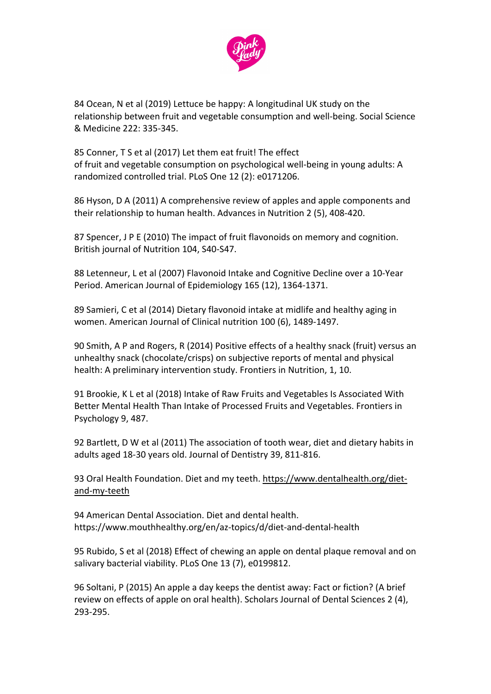

84 Ocean, N et al (2019) Lettuce be happy: A longitudinal UK study on the relationship between fruit and vegetable consumption and well-being. Social Science & Medicine 222: 335-345.

85 Conner, T S et al (2017) Let them eat fruit! The effect of fruit and vegetable consumption on psychological well-being in young adults: A randomized controlled trial. PLoS One 12 (2): e0171206.

86 Hyson, D A (2011) A comprehensive review of apples and apple components and their relationship to human health. Advances in Nutrition 2 (5), 408-420.

87 Spencer, J P E (2010) The impact of fruit flavonoids on memory and cognition. British journal of Nutrition 104, S40-S47.

88 Letenneur, L et al (2007) Flavonoid Intake and Cognitive Decline over a 10-Year Period. American Journal of Epidemiology 165 (12), 1364-1371.

89 Samieri, C et al (2014) Dietary flavonoid intake at midlife and healthy aging in women. American Journal of Clinical nutrition 100 (6), 1489-1497.

90 Smith, A P and Rogers, R (2014) Positive effects of a healthy snack (fruit) versus an unhealthy snack (chocolate/crisps) on subjective reports of mental and physical health: A preliminary intervention study. Frontiers in Nutrition, 1, 10.

91 Brookie, K L et al (2018) Intake of Raw Fruits and Vegetables Is Associated With Better Mental Health Than Intake of Processed Fruits and Vegetables. Frontiers in Psychology 9, 487.

92 Bartlett, D W et al (2011) The association of tooth wear, diet and dietary habits in adults aged 18-30 years old. Journal of Dentistry 39, 811-816.

93 Oral Health Foundation. Diet and my teeth. [https://www.dentalhealth.org/diet](https://www.dentalhealth.org/diet-and-my-teeth)[and-my-teeth](https://www.dentalhealth.org/diet-and-my-teeth)

94 American Dental Association. Diet and dental health. https://www.mouthhealthy.org/en/az-topics/d/diet-and-dental-health

95 Rubido, S et al (2018) Effect of chewing an apple on dental plaque removal and on salivary bacterial viability. PLoS One 13 (7), e0199812.

96 Soltani, P (2015) An apple a day keeps the dentist away: Fact or fiction? (A brief review on effects of apple on oral health). Scholars Journal of Dental Sciences 2 (4), 293-295.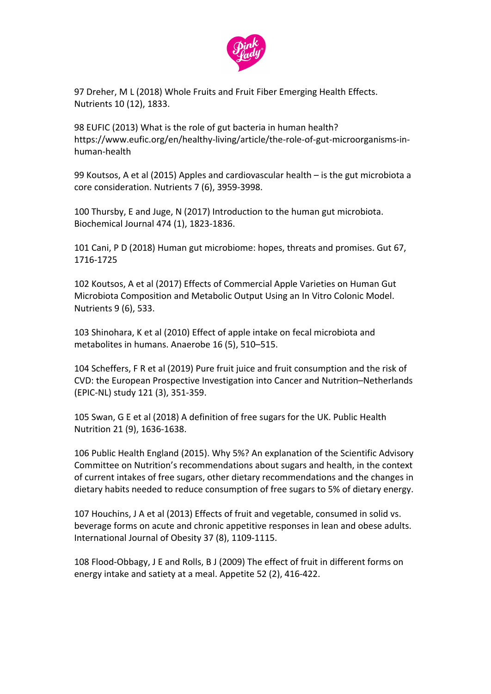

97 Dreher, M L (2018) Whole Fruits and Fruit Fiber Emerging Health Effects. Nutrients 10 (12), 1833.

98 EUFIC (2013) What is the role of gut bacteria in human health? https://www.eufic.org/en/healthy-living/article/the-role-of-gut-microorganisms-inhuman-health

99 Koutsos, A et al (2015) Apples and cardiovascular health – is the gut microbiota a core consideration. Nutrients 7 (6), 3959-3998.

100 Thursby, E and Juge, N (2017) Introduction to the human gut microbiota. Biochemical Journal 474 (1), 1823-1836.

101 Cani, P D (2018) Human gut microbiome: hopes, threats and promises. Gut 67, 1716-1725

102 Koutsos, A et al (2017) Effects of Commercial Apple Varieties on Human Gut Microbiota Composition and Metabolic Output Using an In Vitro Colonic Model. Nutrients 9 (6), 533.

103 Shinohara, K et al (2010) Effect of apple intake on fecal microbiota and metabolites in humans. Anaerobe 16 (5), 510–515.

104 Scheffers, F R et al (2019) Pure fruit juice and fruit consumption and the risk of CVD: the European Prospective Investigation into Cancer and Nutrition–Netherlands (EPIC-NL) study 121 (3), 351-359.

105 Swan, G E et al (2018) A definition of free sugars for the UK. Public Health Nutrition 21 (9), 1636-1638.

106 Public Health England (2015). Why 5%? An explanation of the Scientific Advisory Committee on Nutrition's recommendations about sugars and health, in the context of current intakes of free sugars, other dietary recommendations and the changes in dietary habits needed to reduce consumption of free sugars to 5% of dietary energy.

107 Houchins, J A et al (2013) Effects of fruit and vegetable, consumed in solid vs. beverage forms on acute and chronic appetitive responses in lean and obese adults. International Journal of Obesity 37 (8), 1109-1115.

108 Flood-Obbagy, J E and Rolls, B J (2009) The effect of fruit in different forms on energy intake and satiety at a meal. Appetite 52 (2), 416-422.